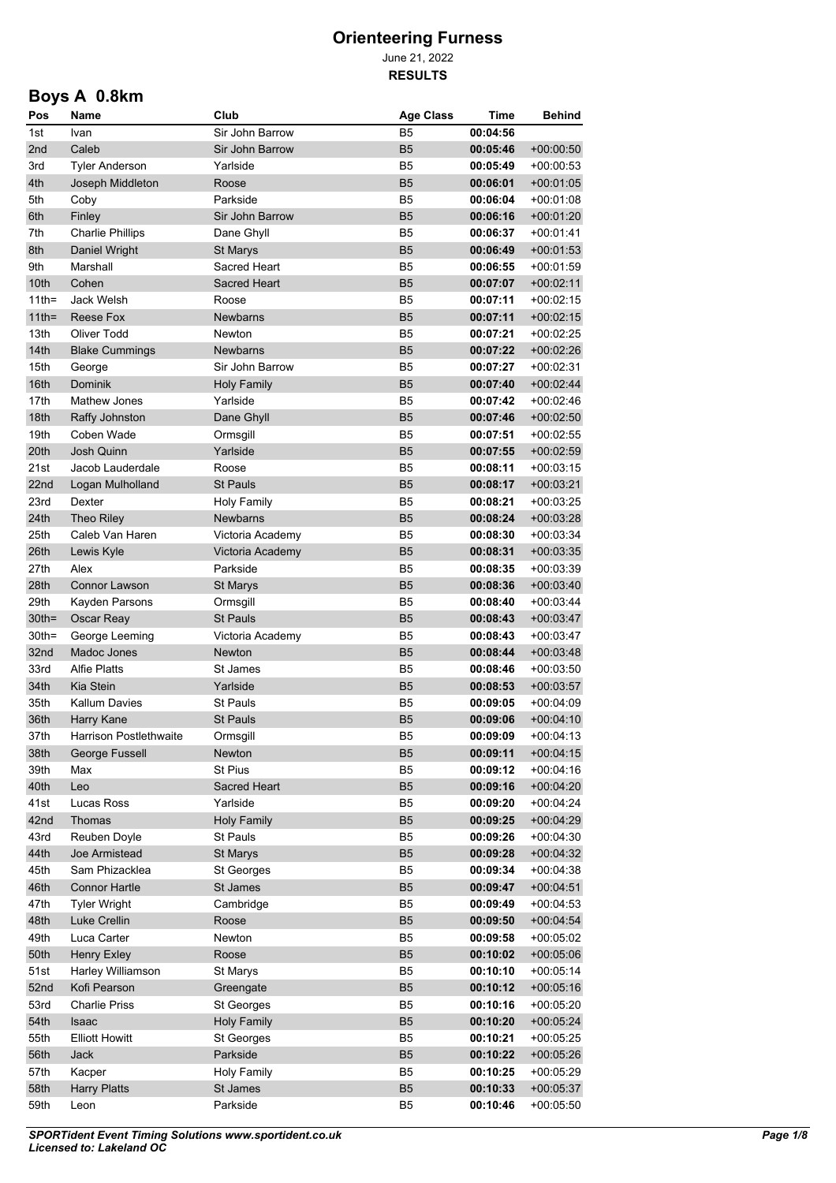June 21, 2022 **RESULTS**

# **Boys A 0.8km**

| Pos             | Name                         | Club                 | <b>Age Class</b>                 | Time                 | <b>Behind</b>              |
|-----------------|------------------------------|----------------------|----------------------------------|----------------------|----------------------------|
| 1st             | Ivan                         | Sir John Barrow      | <b>B5</b>                        | 00:04:56             |                            |
| 2 <sub>nd</sub> | Caleb                        | Sir John Barrow      | B <sub>5</sub>                   | 00:05:46             | $+00.00.50$                |
| 3rd             | Tyler Anderson               | Yarlside             | B <sub>5</sub>                   | 00:05:49             | $+00.00.53$                |
| 4th             | Joseph Middleton             | Roose                | B <sub>5</sub>                   | 00:06:01             | $+00.01.05$                |
| 5th             | Coby                         | Parkside             | B <sub>5</sub>                   | 00:06:04             | $+00.01.08$                |
| 6th             | Finley                       | Sir John Barrow      | B <sub>5</sub>                   | 00:06:16             | $+00.01.20$                |
| 7th             | <b>Charlie Phillips</b>      | Dane Ghyll           | B <sub>5</sub>                   | 00:06:37             | +00 01:41                  |
| 8th             | Daniel Wright                | <b>St Marys</b>      | B <sub>5</sub>                   | 00:06:49             | $+00.01:53$                |
| 9th             | Marshall                     | Sacred Heart         | B <sub>5</sub>                   | 00:06:55             | $+00.01.59$                |
| 10th            | Cohen                        | Sacred Heart         | B <sub>5</sub>                   | 00:07:07             | $+00.02:11$                |
| $11$ th=        | Jack Welsh                   | Roose                | B <sub>5</sub>                   | 00:07:11             | $+00.02:15$                |
| $11$ th=        | Reese Fox                    | <b>Newbarns</b>      | B <sub>5</sub>                   | 00:07:11             | $+00.02:15$                |
| 13th            | <b>Oliver Todd</b>           | Newton               | B <sub>5</sub>                   | 00:07:21             | $+00.02:25$                |
| 14th            | <b>Blake Cummings</b>        | <b>Newbarns</b>      | B <sub>5</sub>                   | 00:07:22             | $+00.02:26$                |
| 15th<br>16th    | George                       | Sir John Barrow      | B <sub>5</sub>                   | 00:07:27             | +00.02:31                  |
|                 | <b>Dominik</b>               | <b>Holy Family</b>   | B <sub>5</sub>                   | 00:07:40             | $+00.02.44$                |
| 17th<br>18th    | Mathew Jones                 | Yarlside             | B <sub>5</sub>                   | 00:07:42             | $+00.02:46$                |
| 19th            | Raffy Johnston<br>Coben Wade | Dane Ghyll           | B <sub>5</sub><br>B <sub>5</sub> | 00:07:46             | $+00:02:50$                |
| 20th            | <b>Josh Quinn</b>            | Ormsgill<br>Yarlside | <b>B5</b>                        | 00:07:51<br>00:07:55 | $+00.02:55$<br>$+00:02:59$ |
| 21st            | Jacob Lauderdale             | Roose                | B <sub>5</sub>                   | 00:08:11             | $+00.03.15$                |
| 22nd            | Logan Mulholland             | <b>St Pauls</b>      | <b>B5</b>                        | 00:08:17             | $+00.03:21$                |
| 23rd            | Dexter                       | <b>Holy Family</b>   | B <sub>5</sub>                   | 00:08:21             | $+00.03.25$                |
| 24th            | Theo Riley                   | Newbarns             | <b>B5</b>                        | 00:08:24             | $+00.03.28$                |
| 25th            | Caleb Van Haren              | Victoria Academy     | B <sub>5</sub>                   | 00:08:30             | +00:03:34                  |
| 26th            | Lewis Kyle                   | Victoria Academy     | B <sub>5</sub>                   | 00:08:31             | $+00.03.35$                |
| 27th            | Alex                         | Parkside             | B <sub>5</sub>                   | 00:08:35             | $+00.03.39$                |
| 28th            | <b>Connor Lawson</b>         | <b>St Marys</b>      | <b>B5</b>                        | 00:08:36             | $+00.03.40$                |
| 29th            | Kayden Parsons               | Ormsgill             | B <sub>5</sub>                   | 00:08:40             | $+00.03.44$                |
| $30th =$        | Oscar Reay                   | <b>St Pauls</b>      | <b>B5</b>                        | 00:08:43             | $+00.03.47$                |
| $30th =$        | George Leeming               | Victoria Academy     | B <sub>5</sub>                   | 00:08:43             | $+00:03:47$                |
| 32nd            | Madoc Jones                  | <b>Newton</b>        | B <sub>5</sub>                   | 00:08:44             | $+00.03.48$                |
| 33rd            | <b>Alfie Platts</b>          | St James             | B <sub>5</sub>                   | 00:08:46             | $+00.03.50$                |
| 34th            | Kia Stein                    | Yarlside             | B <sub>5</sub>                   | 00:08:53             | $+00.03.57$                |
| 35th            | Kallum Davies                | St Pauls             | B <sub>5</sub>                   | 00:09:05             | $+00.04.09$                |
| 36th            | Harry Kane                   | St Pauls             | B <sub>5</sub>                   | 00:09:06             | $+00.04:10$                |
| 37th            | Harrison Postlethwaite       | Ormsgill             | B <sub>5</sub>                   | 00:09:09             | $+00:04:13$                |
| 38th            | George Fussell               | Newton               | <b>B5</b>                        | 00:09:11             | $+00:04:15$                |
| 39th            | Max                          | St Pius              | B <sub>5</sub>                   | 00:09:12             | $+00:04:16$                |
| 40th            | Leo                          | Sacred Heart         | <b>B5</b>                        | 00:09:16             | $+00:04:20$                |
| 41st            | Lucas Ross                   | Yarlside             | B <sub>5</sub>                   | 00:09:20             | $+00.04:24$                |
| 42nd            | Thomas                       | <b>Holy Family</b>   | B <sub>5</sub>                   | 00:09:25             | $+00:04:29$                |
| 43rd            | Reuben Doyle                 | St Pauls             | B <sub>5</sub>                   | 00:09:26             | $+00.04.30$                |
| 44th            | Joe Armistead                | St Marys             | B <sub>5</sub>                   | 00:09:28             | $+00.04.32$                |
| 45th            | Sam Phizacklea               | St Georges           | B <sub>5</sub>                   | 00:09:34             | $+00:04:38$                |
| 46th            | <b>Connor Hartle</b>         | St James             | B <sub>5</sub>                   | 00:09:47             | $+00.04.51$                |
| 47th            | <b>Tyler Wright</b>          | Cambridge            | B <sub>5</sub>                   | 00:09:49             | $+00:04:53$                |
| 48th            | Luke Crellin                 | Roose                | B <sub>5</sub>                   | 00:09:50             | $+00:04:54$                |
| 49th            | Luca Carter                  | Newton               | B <sub>5</sub>                   | 00:09:58             | $+00:05:02$                |
| 50th            | Henry Exley                  | Roose                | B <sub>5</sub>                   | 00:10:02             | $+00.05.06$                |
| 51st            | Harley Williamson            | St Marys             | B <sub>5</sub>                   | 00:10:10             | $+00:05:14$                |
| 52nd            | Kofi Pearson                 | Greengate            | B <sub>5</sub>                   | 00:10:12             | $+00:05:16$                |
| 53rd            | <b>Charlie Priss</b>         | St Georges           | B <sub>5</sub>                   | 00:10:16             | $+00:05:20$                |
| 54th            | Isaac                        | <b>Holy Family</b>   | B <sub>5</sub>                   | 00:10:20             | $+00.05.24$                |
| 55th            | <b>Elliott Howitt</b>        | St Georges           | B <sub>5</sub>                   | 00:10:21             | $+00:05:25$                |
| 56th            | Jack                         | Parkside             | B <sub>5</sub>                   | 00:10:22             | $+00:05:26$                |
| 57th            | Kacper                       | <b>Holy Family</b>   | B <sub>5</sub>                   | 00:10:25             | $+00:05:29$                |
| 58th            | <b>Harry Platts</b>          | St James             | <b>B5</b>                        | 00:10:33             | $+00:05:37$                |
| 59th            | Leon                         | Parkside             | B5                               | 00:10:46             | $+00:05:50$                |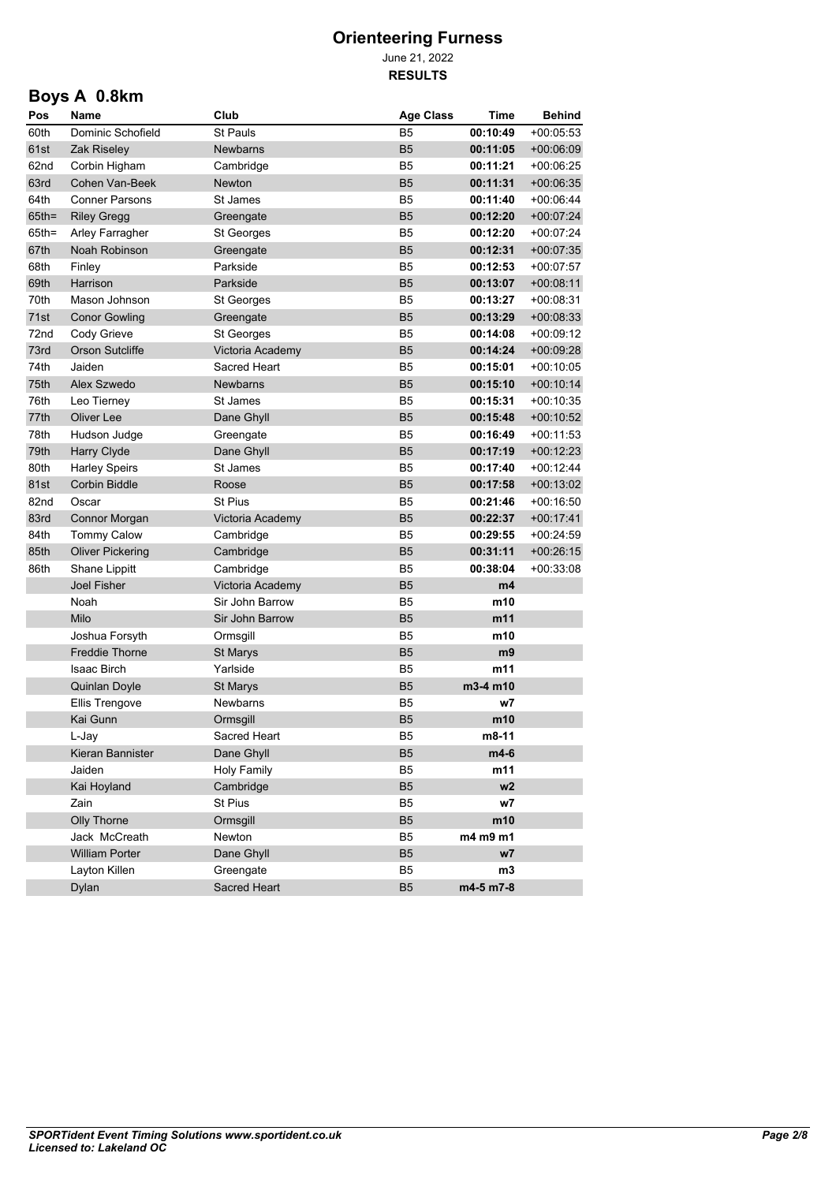June 21, 2022 **RESULTS**

## **Boys A 0.8km**

| Pos      | Name                    | Club               | <b>Age Class</b> | <b>Time</b>    | <b>Behind</b> |
|----------|-------------------------|--------------------|------------------|----------------|---------------|
| 60th     | Dominic Schofield       | <b>St Pauls</b>    | B <sub>5</sub>   | 00:10:49       | $+00:05:53$   |
| 61st     | Zak Riseley             | <b>Newbarns</b>    | <b>B5</b>        | 00:11:05       | $+00.06.09$   |
| 62nd     | Corbin Higham           | Cambridge          | B5               | 00:11:21       | +00:06:25     |
| 63rd     | Cohen Van-Beek          | Newton             | <b>B5</b>        | 00:11:31       | $+00.06.35$   |
| 64th     | <b>Conner Parsons</b>   | St James           | B5               | 00:11:40       | $+00.06:44$   |
| $65$ th= | <b>Riley Gregg</b>      | Greengate          | <b>B5</b>        | 00:12:20       | $+00.07:24$   |
| $65th =$ | Arley Farragher         | St Georges         | B5               | 00:12:20       | $+00.07:24$   |
| 67th     | Noah Robinson           | Greengate          | <b>B5</b>        | 00:12:31       | $+00.07:35$   |
| 68th     | Finley                  | Parkside           | B5               | 00:12:53       | +00:07:57     |
| 69th     | Harrison                | Parkside           | <b>B5</b>        | 00:13:07       | $+00:08:11$   |
| 70th     | Mason Johnson           | St Georges         | B5               | 00:13:27       | $+00:08:31$   |
| 71st     | <b>Conor Gowling</b>    | Greengate          | <b>B5</b>        | 00:13:29       | $+00.08.33$   |
| 72nd     | Cody Grieve             | St Georges         | B5               | 00:14:08       | $+00:09:12$   |
| 73rd     | <b>Orson Sutcliffe</b>  | Victoria Academy   | <b>B5</b>        | 00:14:24       | $+00:09:28$   |
| 74th     | Jaiden                  | Sacred Heart       | B5               | 00:15:01       | $+00:10:05$   |
| 75th     | Alex Szwedo             | <b>Newbarns</b>    | <b>B5</b>        | 00:15:10       | $+00:10:14$   |
| 76th     | Leo Tierney             | St James           | B <sub>5</sub>   | 00:15:31       | $+00:10:35$   |
| 77th     | Oliver Lee              | Dane Ghyll         | <b>B5</b>        | 00:15:48       | $+00:10:52$   |
| 78th     | Hudson Judge            | Greengate          | B <sub>5</sub>   | 00:16:49       | $+00:11:53$   |
| 79th     | Harry Clyde             | Dane Ghyll         | B <sub>5</sub>   | 00:17:19       | $+00:12:23$   |
| 80th     | <b>Harley Speirs</b>    | St James           | B <sub>5</sub>   | 00:17:40       | $+00:12:44$   |
| 81st     | <b>Corbin Biddle</b>    | Roose              | B <sub>5</sub>   | 00:17:58       | $+00.13.02$   |
| 82nd     | Oscar                   | <b>St Pius</b>     | B <sub>5</sub>   | 00:21:46       | $+00:16:50$   |
| 83rd     | Connor Morgan           | Victoria Academy   | B <sub>5</sub>   | 00:22:37       | $+00:17:41$   |
| 84th     | <b>Tommy Calow</b>      | Cambridge          | B <sub>5</sub>   | 00:29:55       | +00:24:59     |
| 85th     | <b>Oliver Pickering</b> | Cambridge          | B <sub>5</sub>   | 00:31:11       | $+00:26:15$   |
| 86th     | Shane Lippitt           | Cambridge          | B <sub>5</sub>   | 00:38:04       | +00:33:08     |
|          | <b>Joel Fisher</b>      | Victoria Academy   | B <sub>5</sub>   | m4             |               |
|          | Noah                    | Sir John Barrow    | B <sub>5</sub>   | m10            |               |
|          | Milo                    | Sir John Barrow    | <b>B5</b>        | m11            |               |
|          | Joshua Forsyth          | Ormsgill           | B <sub>5</sub>   | m10            |               |
|          | <b>Freddie Thorne</b>   | <b>St Marys</b>    | <b>B5</b>        | m <sub>9</sub> |               |
|          | <b>Isaac Birch</b>      | Yarlside           | B5               | m11            |               |
|          | <b>Quinlan Doyle</b>    | <b>St Marys</b>    | <b>B5</b>        | m3-4 m10       |               |
|          | <b>Ellis Trengove</b>   | Newbarns           | B <sub>5</sub>   | w7             |               |
|          | Kai Gunn                | Ormsgill           | <b>B5</b>        | m10            |               |
|          | L-Jav                   | Sacred Heart       | B <sub>5</sub>   | m8-11          |               |
|          | Kieran Bannister        | Dane Ghyll         | B <sub>5</sub>   | m4-6           |               |
|          | Jaiden                  | <b>Holy Family</b> | B <sub>5</sub>   | m11            |               |
|          | Kai Hoyland             | Cambridge          | B5               | w2             |               |
|          | Zain                    | St Pius            | B <sub>5</sub>   | w7             |               |
|          | Olly Thorne             | Ormsgill           | B <sub>5</sub>   | m10            |               |
|          | Jack McCreath           | Newton             | B <sub>5</sub>   | m4 m9 m1       |               |
|          | <b>William Porter</b>   | Dane Ghyll         | B5               | w7             |               |
|          | Layton Killen           | Greengate          | B5               | m3             |               |
|          | <b>Dylan</b>            | Sacred Heart       | B5               | m4-5 m7-8      |               |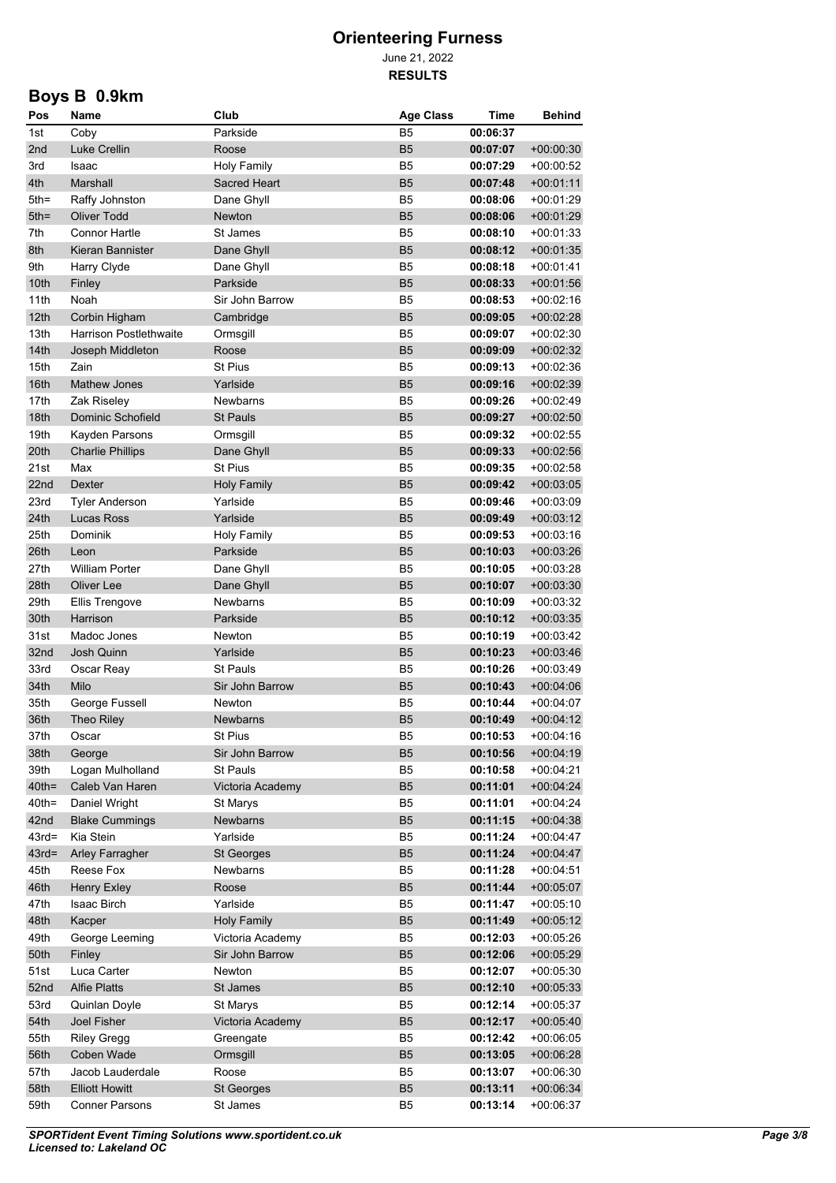June 21, 2022 **RESULTS**

# **Boys B 0.9km**

| Pos             | Name                          | Club                | <b>Age Class</b> | Time     | <b>Behind</b> |
|-----------------|-------------------------------|---------------------|------------------|----------|---------------|
| 1st             | Coby                          | Parkside            | B <sub>5</sub>   | 00:06:37 |               |
| 2 <sub>nd</sub> | Luke Crellin                  | Roose               | B <sub>5</sub>   | 00:07:07 | $+00.00.30$   |
| 3rd             | Isaac                         | <b>Holy Family</b>  | B <sub>5</sub>   | 00:07:29 | $+00:00:52$   |
| 4th             | Marshall                      | <b>Sacred Heart</b> | B <sub>5</sub>   | 00:07:48 | $+00.01.11$   |
| $5th =$         | Raffy Johnston                | Dane Ghyll          | B <sub>5</sub>   | 00:08:06 | $+00.01.29$   |
| $5th =$         | <b>Oliver Todd</b>            | Newton              | B <sub>5</sub>   | 00:08:06 | $+00.01.29$   |
| 7th             | <b>Connor Hartle</b>          | St James            | B <sub>5</sub>   | 00:08:10 | $+00.01.33$   |
| 8th             | Kieran Bannister              | Dane Ghyll          | B <sub>5</sub>   | 00:08:12 | $+00:01:35$   |
| 9th             | Harry Clyde                   | Dane Ghyll          | B <sub>5</sub>   | 00:08:18 | +00 01:41     |
| 10th            | Finley                        | Parkside            | B <sub>5</sub>   | 00:08:33 | $+00.01:56$   |
| 11th            | Noah                          | Sir John Barrow     | B <sub>5</sub>   | 00:08:53 | +00:02:16     |
| 12th            | Corbin Higham                 | Cambridge           | B <sub>5</sub>   | 00:09:05 | $+00.02:28$   |
| 13th            | <b>Harrison Postlethwaite</b> | Ormsgill            | B <sub>5</sub>   | 00:09:07 | +00:02:30     |
| 14th            | Joseph Middleton              | Roose               | <b>B5</b>        | 00:09:09 | $+00.02.32$   |
| 15th            | Zain                          | <b>St Pius</b>      | B <sub>5</sub>   | 00:09:13 | +00:02:36     |
| 16th            | <b>Mathew Jones</b>           | Yarlside            | <b>B5</b>        | 00:09:16 | $+00:02:39$   |
| 17th            | Zak Riseley                   | <b>Newbarns</b>     | B <sub>5</sub>   | 00:09:26 | +00:02:49     |
| 18th            | Dominic Schofield             | <b>St Pauls</b>     | <b>B5</b>        | 00:09:27 | $+00:02:50$   |
| 19th            | Kayden Parsons                | Ormsgill            | B <sub>5</sub>   | 00:09:32 | +00:02:55     |
| 20th            | <b>Charlie Phillips</b>       | Dane Ghyll          | <b>B5</b>        | 00:09:33 | $+00:02:56$   |
| 21st            | Max                           | <b>St Pius</b>      | B5               | 00:09:35 | +00:02:58     |
| 22nd            | <b>Dexter</b>                 | Holy Family         | <b>B5</b>        | 00:09:42 | $+00.03.05$   |
| 23rd            | Tyler Anderson                | Yarlside            | B <sub>5</sub>   | 00:09:46 | +00:03:09     |
| 24th            | Lucas Ross                    | Yarlside            | <b>B5</b>        | 00:09:49 | $+00.03.12$   |
| 25th            | Dominik                       | <b>Holy Family</b>  | B <sub>5</sub>   | 00:09:53 | +00:03:16     |
| 26th            | Leon                          | Parkside            | <b>B5</b>        | 00:10:03 | $+00:03:26$   |
| 27th            | <b>William Porter</b>         | Dane Ghyll          | B <sub>5</sub>   | 00:10:05 | $+00.03.28$   |
| 28th            | Oliver Lee                    | Dane Ghyll          | <b>B5</b>        | 00:10:07 | $+00:03:30$   |
| 29th            | <b>Ellis Trengove</b>         | <b>Newbarns</b>     | B <sub>5</sub>   | 00:10:09 | $+00.03.32$   |
| 30th            | Harrison                      | Parkside            | <b>B5</b>        | 00:10:12 | $+00:03:35$   |
| 31st            | Madoc Jones                   | Newton              | B <sub>5</sub>   | 00:10:19 | $+00.03.42$   |
| 32nd            | Josh Quinn                    | Yarlside            | B <sub>5</sub>   | 00:10:23 | $+00.03.46$   |
| 33rd            | Oscar Reay                    | <b>St Pauls</b>     | B <sub>5</sub>   | 00:10:26 | $+00.03.49$   |
| 34th            | Milo                          | Sir John Barrow     | B <sub>5</sub>   | 00:10:43 | $+00.04:06$   |
| 35th            | George Fussell                | Newton              | B <sub>5</sub>   | 00:10:44 | $+00.04.07$   |
| 36th            | Theo Riley                    | <b>Newbarns</b>     | B <sub>5</sub>   | 00:10:49 | $+00.04:12$   |
| 37th            | Oscar                         | St Pius             | B <sub>5</sub>   | 00:10:53 | $+00.04.16$   |
| 38th            | George                        | Sir John Barrow     | B <sub>5</sub>   | 00:10:56 | $+00:04:19$   |
| 39th            | Logan Mulholland              | St Pauls            | B <sub>5</sub>   | 00:10:58 | $+00:04:21$   |
| $40th =$        | Caleb Van Haren               | Victoria Academy    | B <sub>5</sub>   | 00:11:01 | $+00:04:24$   |
| $40th =$        | Daniel Wright                 | St Marys            | B <sub>5</sub>   | 00:11:01 | $+00:04:24$   |
| 42nd            | <b>Blake Cummings</b>         | Newbarns            | B <sub>5</sub>   | 00:11:15 | $+00:04:38$   |
| $43rd =$        | Kia Stein                     | Yarlside            | B <sub>5</sub>   | 00:11:24 | $+00.04:47$   |
| $43rd =$        | Arley Farragher               | St Georges          | B <sub>5</sub>   | 00:11:24 | $+00:04:47$   |
| 45th            | Reese Fox                     | Newbarns            | B <sub>5</sub>   | 00:11:28 | $+00:04:51$   |
| 46th            | Henry Exley                   | Roose               | B <sub>5</sub>   | 00:11:44 | $+00:05:07$   |
| 47th            | Isaac Birch                   | Yarlside            | B <sub>5</sub>   | 00:11:47 | $+00:05:10$   |
| 48th            | Kacper                        | <b>Holy Family</b>  | B <sub>5</sub>   | 00:11:49 | $+00:05:12$   |
| 49th            | George Leeming                | Victoria Academy    | B <sub>5</sub>   | 00:12:03 | $+00:05:26$   |
| 50th            | Finley                        | Sir John Barrow     | B <sub>5</sub>   | 00:12:06 | $+00:05:29$   |
| 51st            | Luca Carter                   | Newton              | B <sub>5</sub>   | 00:12:07 | $+00:05:30$   |
| 52nd            | <b>Alfie Platts</b>           | St James            | B <sub>5</sub>   | 00:12:10 | $+00:05:33$   |
| 53rd            | Quinlan Doyle                 | St Marys            | B <sub>5</sub>   | 00:12:14 | $+00:05:37$   |
| 54th            | Joel Fisher                   | Victoria Academy    | <b>B5</b>        | 00:12:17 | $+00:05:40$   |
| 55th            | <b>Riley Gregg</b>            | Greengate           | B <sub>5</sub>   | 00:12:42 | $+00:06:05$   |
| 56th            | Coben Wade                    | Ormsgill            | B <sub>5</sub>   | 00:13:05 | $+00:06:28$   |
| 57th            | Jacob Lauderdale              | Roose               | B <sub>5</sub>   | 00:13:07 | $+00:06:30$   |
| 58th            | <b>Elliott Howitt</b>         | <b>St Georges</b>   | B <sub>5</sub>   | 00:13:11 | $+00.06.34$   |
| 59th            | <b>Conner Parsons</b>         | St James            | B <sub>5</sub>   | 00:13:14 | $+00.06:37$   |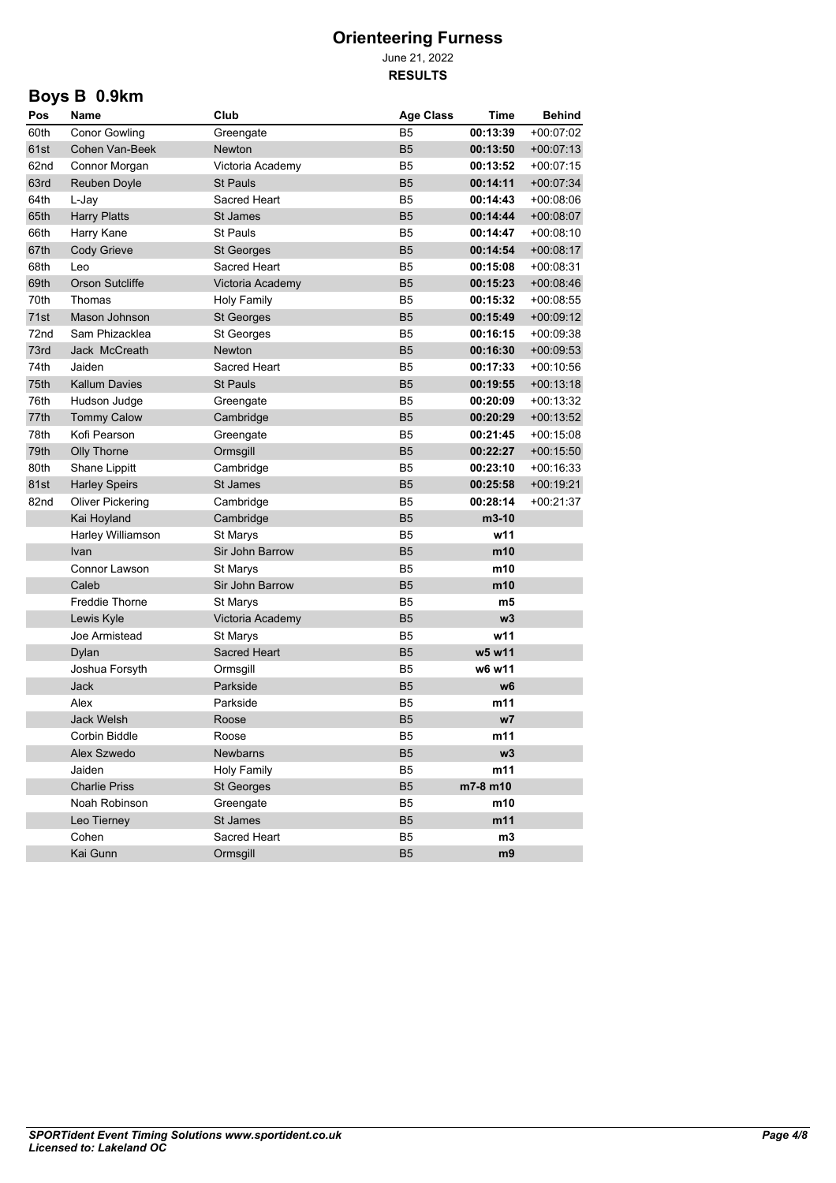June 21, 2022 **RESULTS**

# **Boys B 0.9km**

| Pos  | Name                   | Club                | <b>Age Class</b> | <b>Time</b> | <b>Behind</b> |
|------|------------------------|---------------------|------------------|-------------|---------------|
| 60th | <b>Conor Gowling</b>   | Greengate           | <b>B5</b>        | 00:13:39    | $+00.07:02$   |
| 61st | Cohen Van-Beek         | Newton              | <b>B5</b>        | 00:13:50    | $+00:07:13$   |
| 62nd | Connor Morgan          | Victoria Academy    | B <sub>5</sub>   | 00:13:52    | $+00.07:15$   |
| 63rd | Reuben Doyle           | <b>St Pauls</b>     | <b>B5</b>        | 00:14:11    | $+00:07:34$   |
| 64th | L-Jay                  | Sacred Heart        | B5               | 00:14:43    | $+00.08.06$   |
| 65th | <b>Harry Platts</b>    | St James            | <b>B5</b>        | 00:14:44    | $+00:08:07$   |
| 66th | Harry Kane             | <b>St Pauls</b>     | B5               | 00:14:47    | $+00.08:10$   |
| 67th | Cody Grieve            | St Georges          | B <sub>5</sub>   | 00:14:54    | $+00:08:17$   |
| 68th | Leo                    | Sacred Heart        | B5               | 00:15:08    | $+00:08:31$   |
| 69th | <b>Orson Sutcliffe</b> | Victoria Academy    | B <sub>5</sub>   | 00:15:23    | $+00.08:46$   |
| 70th | Thomas                 | <b>Holy Family</b>  | B5               | 00:15:32    | $+00:08:55$   |
| 71st | Mason Johnson          | <b>St Georges</b>   | B <sub>5</sub>   | 00:15:49    | $+00:09:12$   |
| 72nd | Sam Phizacklea         | St Georges          | B5               | 00:16:15    | +00:09:38     |
| 73rd | Jack McCreath          | <b>Newton</b>       | B <sub>5</sub>   | 00:16:30    | $+00.09.53$   |
| 74th | Jaiden                 | Sacred Heart        | B5               | 00:17:33    | $+00:10:56$   |
| 75th | <b>Kallum Davies</b>   | <b>St Pauls</b>     | B <sub>5</sub>   | 00:19:55    | $+00:13:18$   |
| 76th | Hudson Judge           | Greengate           | B5               | 00:20:09    | $+00.13.32$   |
| 77th | <b>Tommy Calow</b>     | Cambridge           | B <sub>5</sub>   | 00:20:29    | $+00:13:52$   |
| 78th | Kofi Pearson           | Greengate           | B5               | 00:21:45    | $+00.15.08$   |
| 79th | Olly Thorne            | Ormsgill            | <b>B5</b>        | 00:22:27    | $+00.15.50$   |
| 80th | Shane Lippitt          | Cambridge           | B5               | 00:23:10    | +00:16:33     |
| 81st | <b>Harley Speirs</b>   | St James            | <b>B5</b>        | 00:25:58    | $+00:19:21$   |
| 82nd | Oliver Pickering       | Cambridge           | B5               | 00:28:14    | $+00.21.37$   |
|      | Kai Hoyland            | Cambridge           | <b>B5</b>        | m3-10       |               |
|      | Harley Williamson      | St Marys            | B <sub>5</sub>   | w11         |               |
|      | <b>Ivan</b>            | Sir John Barrow     | <b>B5</b>        | m10         |               |
|      | Connor Lawson          | St Marys            | B <sub>5</sub>   | m10         |               |
|      | Caleb                  | Sir John Barrow     | <b>B5</b>        | m10         |               |
|      | <b>Freddie Thorne</b>  | St Marys            | B <sub>5</sub>   | m5          |               |
|      | Lewis Kyle             | Victoria Academy    | <b>B5</b>        | w3          |               |
|      | Joe Armistead          | St Marys            | B <sub>5</sub>   | w11         |               |
|      | Dylan                  | <b>Sacred Heart</b> | B <sub>5</sub>   | w5 w11      |               |
|      | Joshua Forsyth         | Ormsgill            | B5               | w6 w11      |               |
|      | Jack                   | Parkside            | B <sub>5</sub>   | w6          |               |
|      | Alex                   | Parkside            | B5               | m11         |               |
|      | <b>Jack Welsh</b>      | Roose               | B <sub>5</sub>   | w7          |               |
|      | Corbin Biddle          | Roose               | B5               | m11         |               |
|      | Alex Szwedo            | Newbarns            | B5               | w3          |               |
|      | Jaiden                 | <b>Holy Family</b>  | B5               | m11         |               |
|      | <b>Charlie Priss</b>   | <b>St Georges</b>   | <b>B5</b>        | m7-8 m10    |               |
|      | Noah Robinson          | Greengate           | B5               | m10         |               |
|      | Leo Tierney            | St James            | <b>B5</b>        | m11         |               |
|      | Cohen                  | Sacred Heart        | B5               | m3          |               |
|      | Kai Gunn               | Ormsgill            | B5               | m9          |               |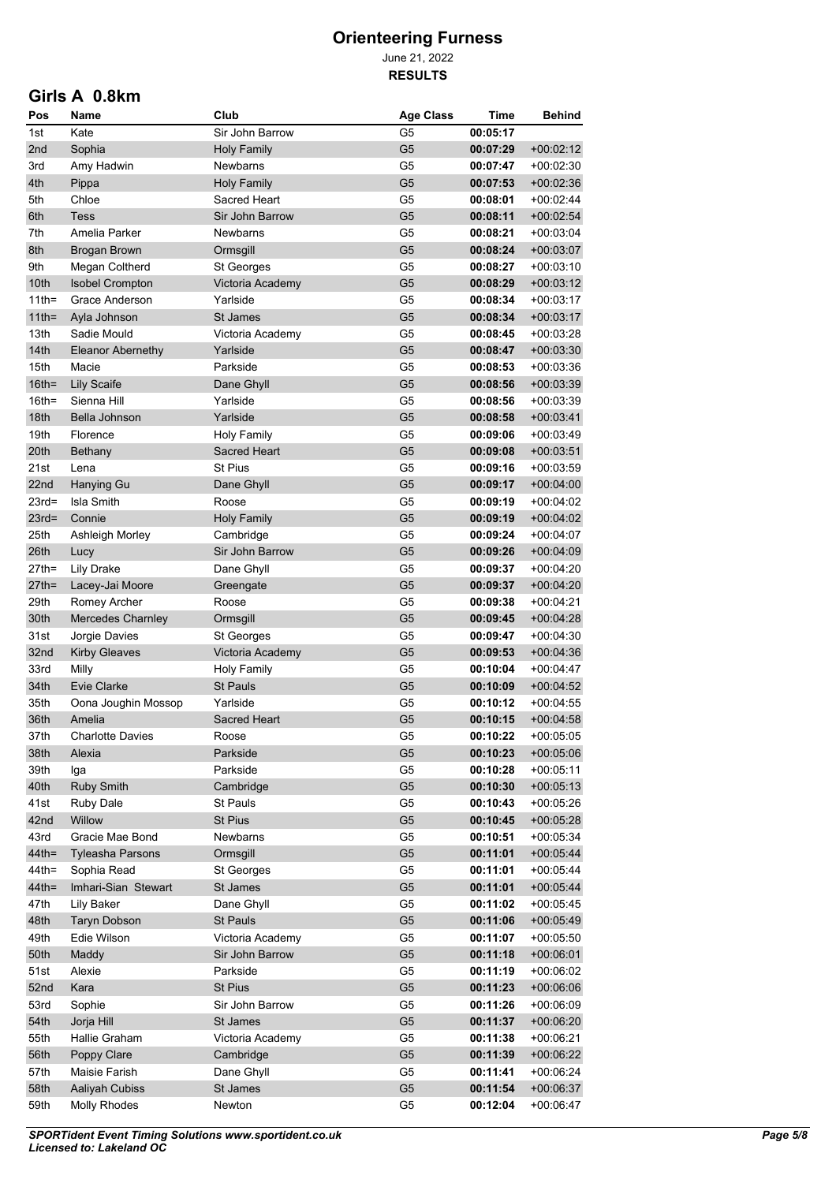June 21, 2022 **RESULTS**

#### **Girls A 0.8km**

| 1st<br>Kate<br>Sir John Barrow<br>G <sub>5</sub><br>00:05:17<br>G <sub>5</sub><br>$+00.02:12$<br>2nd<br>Sophia<br>Holy Family<br>00:07:29<br>Newbarns<br>G5<br>+00:02:30<br>3rd<br>Amy Hadwin<br>00:07:47<br>4th<br><b>Holy Family</b><br>G <sub>5</sub><br>$+00.02.36$<br>Pippa<br>00:07:53<br>Chloe<br>Sacred Heart<br>G5<br>+00:02:44<br>5th<br>00:08:01<br>6th<br><b>Tess</b><br>Sir John Barrow<br>G <sub>5</sub><br>00:08:11<br>$+00.02.54$<br>7th<br>Amelia Parker<br>G5<br>00:08:21<br>$+00.03.04$<br><b>Newbarns</b><br>8th<br>G <sub>5</sub><br>00:08:24<br>Brogan Brown<br>Ormsgill<br>+00:03:07<br>9th<br>G5<br>00:08:27<br>+00:03:10<br>Megan Coltherd<br>St Georges<br>10th<br><b>Isobel Crompton</b><br>Victoria Academy<br>G <sub>5</sub><br>00:08:29<br>+00:03:12<br>$11$ th=<br>Grace Anderson<br>Yarlside<br>G5<br>00:08:34<br>+00:03:17<br>$11$ th=<br>Ayla Johnson<br>St James<br>G <sub>5</sub><br>00:08:34<br>$+00.03.17$<br>13th<br>Sadie Mould<br>G5<br>+00:03:28<br>Victoria Academy<br>00:08:45<br>14th<br><b>Eleanor Abernethy</b><br>Yarlside<br>G <sub>5</sub><br>00:08:47<br>$+00.03.30$<br>15th<br>Parkside<br>G5<br>+00:03:36<br>Macie<br>00:08:53<br>$16th =$<br><b>Lily Scaife</b><br>G <sub>5</sub><br>00:08:56<br>$+00.03.39$<br>Dane Ghyll<br>$16th =$<br>G5<br>Sienna Hill<br>Yarlside<br>00:08:56<br>+00:03:39<br>18th<br>Bella Johnson<br>Yarlside<br>G <sub>5</sub><br>00:08:58<br>$+00.03.41$<br>19th<br><b>Holy Family</b><br>G5<br>00:09:06<br>+00:03:49<br>Florence<br>20th<br>Sacred Heart<br>G <sub>5</sub><br>00:09:08<br>$+00.03.51$<br>Bethany<br>21st<br><b>St Pius</b><br>G5<br>Lena<br>00:09:16<br>+00:03:59<br>22nd<br>G <sub>5</sub><br>Hanying Gu<br>Dane Ghyll<br>00:09:17<br>+00:04:00<br>$23rd =$<br>Isla Smith<br>G5<br>Roose<br>00:09:19<br>+00:04:02<br>G <sub>5</sub><br>$23rd =$<br>Connie<br><b>Holy Family</b><br>00:09:19<br>$+00.04.02$<br>25th<br>G5<br>00:09:24<br>Ashleigh Morley<br>Cambridge<br>+00:04:07<br>26th<br>G <sub>5</sub><br>Sir John Barrow<br>00:09:26<br>Lucy<br>+00:04:09<br>G5<br>$27th =$<br><b>Lily Drake</b><br>Dane Ghyll<br>00:09:37<br>+00:04:20<br>$27th =$<br>G <sub>5</sub><br>00:09:37<br>$+00.04:20$<br>Lacey-Jai Moore<br>Greengate<br>G5<br>29th<br>Romey Archer<br>Roose<br>00:09:38<br>+00:04:21<br>30th<br>G <sub>5</sub><br>Mercedes Charnley<br>00:09:45<br>$+00.04.28$<br>Ormsgill<br>31st<br>G5<br>Jorgie Davies<br>St Georges<br>00:09:47<br>+00:04:30<br>32nd<br>G <sub>5</sub><br><b>Kirby Gleaves</b><br>Victoria Academy<br>00:09:53<br>$+00.04.36$<br>33rd<br>Milly<br>G5<br><b>Holy Family</b><br>00:10:04<br>+00:04:47<br>34th<br>Evie Clarke<br>G <sub>5</sub><br><b>St Pauls</b><br>00:10:09<br>+00:04:52<br>35th<br>Yarlside<br>G <sub>5</sub><br>Oona Joughin Mossop<br>00:10:12<br>+00:04:55<br>36th<br>G <sub>5</sub><br>Amelia<br><b>Sacred Heart</b><br>00:10:15<br>$+00.04.58$<br>37th<br>Charlotte Davies<br>Roose<br>G5<br>00:10:22<br>$+00.05.05$<br>G <sub>5</sub><br>38th<br>00:10:23<br>$+00.05.06$<br>Alexia<br>Parkside<br>G <sub>5</sub><br>39th<br>Parkside<br>00:10:28<br>+00:05:11<br>Iga<br>40th<br>Ruby Smith<br>G <sub>5</sub><br>Cambridge<br>00:10:30<br>$+00.05:13$<br>41st<br><b>Ruby Dale</b><br>St Pauls<br>G <sub>5</sub><br>00:10:43<br>$+00.05:26$<br>42nd<br>Willow<br>G <sub>5</sub><br><b>St Pius</b><br>00:10:45<br>$+00.05.28$<br>43rd<br>Gracie Mae Bond<br><b>Newbarns</b><br>G <sub>5</sub><br>00:10:51<br>$+00.05.34$<br>$44th =$<br>Ormsgill<br>G <sub>5</sub><br>00:11:01<br>$+00.05.44$<br><b>Tyleasha Parsons</b><br>$44$ th=<br>Sophia Read<br>St Georges<br>G <sub>5</sub><br>00:11:01<br>$+00.05.44$<br>$44$ th=<br>Imhari-Sian Stewart<br>St James<br>G <sub>5</sub><br>00:11:01<br>$+00.05.44$<br>47th<br>Lily Baker<br>Dane Ghyll<br>G <sub>5</sub><br>00:11:02<br>$+00.05:45$<br>48th<br><b>Taryn Dobson</b><br>St Pauls<br>G <sub>5</sub><br>00:11:06<br>$+00.05.49$<br>49th<br>Edie Wilson<br>Victoria Academy<br>G <sub>5</sub><br>00:11:07<br>$+00:05:50$<br>G <sub>5</sub><br>50th<br>Maddy<br>Sir John Barrow<br>00:11:18<br>$+00.06.01$<br>51st<br>Alexie<br>Parkside<br>G5<br>00:11:19<br>$+00.06.02$<br>52nd<br>Kara<br>St Pius<br>G <sub>5</sub><br>00:11:23<br>$+00.06.06$<br>53rd<br>Sophie<br>Sir John Barrow<br>G <sub>5</sub><br>00:11:26<br>+00:06:09<br>54th<br>Jorja Hill<br>St James<br>G <sub>5</sub><br>00:11:37<br>$+00.06:20$<br>55th<br>Hallie Graham<br>Victoria Academy<br>G <sub>5</sub><br>00:11:38<br>$+00:06:21$<br>56th<br>Poppy Clare<br>Cambridge<br>G <sub>5</sub><br>00:11:39<br>$+00.06:22$<br>57th<br>Maisie Farish<br>Dane Ghyll<br>G5<br>00:11:41<br>$+00:06:24$<br>58th<br>Aaliyah Cubiss<br>St James<br>G <sub>5</sub><br>00:11:54<br>$+00.06.37$ | Pos  | Name                | Club   | <b>Age Class</b> | Time     | Behind      |
|----------------------------------------------------------------------------------------------------------------------------------------------------------------------------------------------------------------------------------------------------------------------------------------------------------------------------------------------------------------------------------------------------------------------------------------------------------------------------------------------------------------------------------------------------------------------------------------------------------------------------------------------------------------------------------------------------------------------------------------------------------------------------------------------------------------------------------------------------------------------------------------------------------------------------------------------------------------------------------------------------------------------------------------------------------------------------------------------------------------------------------------------------------------------------------------------------------------------------------------------------------------------------------------------------------------------------------------------------------------------------------------------------------------------------------------------------------------------------------------------------------------------------------------------------------------------------------------------------------------------------------------------------------------------------------------------------------------------------------------------------------------------------------------------------------------------------------------------------------------------------------------------------------------------------------------------------------------------------------------------------------------------------------------------------------------------------------------------------------------------------------------------------------------------------------------------------------------------------------------------------------------------------------------------------------------------------------------------------------------------------------------------------------------------------------------------------------------------------------------------------------------------------------------------------------------------------------------------------------------------------------------------------------------------------------------------------------------------------------------------------------------------------------------------------------------------------------------------------------------------------------------------------------------------------------------------------------------------------------------------------------------------------------------------------------------------------------------------------------------------------------------------------------------------------------------------------------------------------------------------------------------------------------------------------------------------------------------------------------------------------------------------------------------------------------------------------------------------------------------------------------------------------------------------------------------------------------------------------------------------------------------------------------------------------------------------------------------------------------------------------------------------------------------------------------------------------------------------------------------------------------------------------------------------------------------------------------------------------------------------------------------------------------------------------------------------------------------------------------------------------------------------------------------------------------------------------------------------------------------------------------------------------------------------------------------------------------------------------------------------------------------------------------------------------------------------------------------------------------------------------------------------------------------------------------------------------------------------------------------------------------------------------------------------------------------------------------------------------------------------------------------------|------|---------------------|--------|------------------|----------|-------------|
|                                                                                                                                                                                                                                                                                                                                                                                                                                                                                                                                                                                                                                                                                                                                                                                                                                                                                                                                                                                                                                                                                                                                                                                                                                                                                                                                                                                                                                                                                                                                                                                                                                                                                                                                                                                                                                                                                                                                                                                                                                                                                                                                                                                                                                                                                                                                                                                                                                                                                                                                                                                                                                                                                                                                                                                                                                                                                                                                                                                                                                                                                                                                                                                                                                                                                                                                                                                                                                                                                                                                                                                                                                                                                                                                                                                                                                                                                                                                                                                                                                                                                                                                                                                                                                                                                                                                                                                                                                                                                                                                                                                                                                                                                                                                                                      |      |                     |        |                  |          |             |
|                                                                                                                                                                                                                                                                                                                                                                                                                                                                                                                                                                                                                                                                                                                                                                                                                                                                                                                                                                                                                                                                                                                                                                                                                                                                                                                                                                                                                                                                                                                                                                                                                                                                                                                                                                                                                                                                                                                                                                                                                                                                                                                                                                                                                                                                                                                                                                                                                                                                                                                                                                                                                                                                                                                                                                                                                                                                                                                                                                                                                                                                                                                                                                                                                                                                                                                                                                                                                                                                                                                                                                                                                                                                                                                                                                                                                                                                                                                                                                                                                                                                                                                                                                                                                                                                                                                                                                                                                                                                                                                                                                                                                                                                                                                                                                      |      |                     |        |                  |          |             |
|                                                                                                                                                                                                                                                                                                                                                                                                                                                                                                                                                                                                                                                                                                                                                                                                                                                                                                                                                                                                                                                                                                                                                                                                                                                                                                                                                                                                                                                                                                                                                                                                                                                                                                                                                                                                                                                                                                                                                                                                                                                                                                                                                                                                                                                                                                                                                                                                                                                                                                                                                                                                                                                                                                                                                                                                                                                                                                                                                                                                                                                                                                                                                                                                                                                                                                                                                                                                                                                                                                                                                                                                                                                                                                                                                                                                                                                                                                                                                                                                                                                                                                                                                                                                                                                                                                                                                                                                                                                                                                                                                                                                                                                                                                                                                                      |      |                     |        |                  |          |             |
|                                                                                                                                                                                                                                                                                                                                                                                                                                                                                                                                                                                                                                                                                                                                                                                                                                                                                                                                                                                                                                                                                                                                                                                                                                                                                                                                                                                                                                                                                                                                                                                                                                                                                                                                                                                                                                                                                                                                                                                                                                                                                                                                                                                                                                                                                                                                                                                                                                                                                                                                                                                                                                                                                                                                                                                                                                                                                                                                                                                                                                                                                                                                                                                                                                                                                                                                                                                                                                                                                                                                                                                                                                                                                                                                                                                                                                                                                                                                                                                                                                                                                                                                                                                                                                                                                                                                                                                                                                                                                                                                                                                                                                                                                                                                                                      |      |                     |        |                  |          |             |
|                                                                                                                                                                                                                                                                                                                                                                                                                                                                                                                                                                                                                                                                                                                                                                                                                                                                                                                                                                                                                                                                                                                                                                                                                                                                                                                                                                                                                                                                                                                                                                                                                                                                                                                                                                                                                                                                                                                                                                                                                                                                                                                                                                                                                                                                                                                                                                                                                                                                                                                                                                                                                                                                                                                                                                                                                                                                                                                                                                                                                                                                                                                                                                                                                                                                                                                                                                                                                                                                                                                                                                                                                                                                                                                                                                                                                                                                                                                                                                                                                                                                                                                                                                                                                                                                                                                                                                                                                                                                                                                                                                                                                                                                                                                                                                      |      |                     |        |                  |          |             |
|                                                                                                                                                                                                                                                                                                                                                                                                                                                                                                                                                                                                                                                                                                                                                                                                                                                                                                                                                                                                                                                                                                                                                                                                                                                                                                                                                                                                                                                                                                                                                                                                                                                                                                                                                                                                                                                                                                                                                                                                                                                                                                                                                                                                                                                                                                                                                                                                                                                                                                                                                                                                                                                                                                                                                                                                                                                                                                                                                                                                                                                                                                                                                                                                                                                                                                                                                                                                                                                                                                                                                                                                                                                                                                                                                                                                                                                                                                                                                                                                                                                                                                                                                                                                                                                                                                                                                                                                                                                                                                                                                                                                                                                                                                                                                                      |      |                     |        |                  |          |             |
|                                                                                                                                                                                                                                                                                                                                                                                                                                                                                                                                                                                                                                                                                                                                                                                                                                                                                                                                                                                                                                                                                                                                                                                                                                                                                                                                                                                                                                                                                                                                                                                                                                                                                                                                                                                                                                                                                                                                                                                                                                                                                                                                                                                                                                                                                                                                                                                                                                                                                                                                                                                                                                                                                                                                                                                                                                                                                                                                                                                                                                                                                                                                                                                                                                                                                                                                                                                                                                                                                                                                                                                                                                                                                                                                                                                                                                                                                                                                                                                                                                                                                                                                                                                                                                                                                                                                                                                                                                                                                                                                                                                                                                                                                                                                                                      |      |                     |        |                  |          |             |
|                                                                                                                                                                                                                                                                                                                                                                                                                                                                                                                                                                                                                                                                                                                                                                                                                                                                                                                                                                                                                                                                                                                                                                                                                                                                                                                                                                                                                                                                                                                                                                                                                                                                                                                                                                                                                                                                                                                                                                                                                                                                                                                                                                                                                                                                                                                                                                                                                                                                                                                                                                                                                                                                                                                                                                                                                                                                                                                                                                                                                                                                                                                                                                                                                                                                                                                                                                                                                                                                                                                                                                                                                                                                                                                                                                                                                                                                                                                                                                                                                                                                                                                                                                                                                                                                                                                                                                                                                                                                                                                                                                                                                                                                                                                                                                      |      |                     |        |                  |          |             |
|                                                                                                                                                                                                                                                                                                                                                                                                                                                                                                                                                                                                                                                                                                                                                                                                                                                                                                                                                                                                                                                                                                                                                                                                                                                                                                                                                                                                                                                                                                                                                                                                                                                                                                                                                                                                                                                                                                                                                                                                                                                                                                                                                                                                                                                                                                                                                                                                                                                                                                                                                                                                                                                                                                                                                                                                                                                                                                                                                                                                                                                                                                                                                                                                                                                                                                                                                                                                                                                                                                                                                                                                                                                                                                                                                                                                                                                                                                                                                                                                                                                                                                                                                                                                                                                                                                                                                                                                                                                                                                                                                                                                                                                                                                                                                                      |      |                     |        |                  |          |             |
|                                                                                                                                                                                                                                                                                                                                                                                                                                                                                                                                                                                                                                                                                                                                                                                                                                                                                                                                                                                                                                                                                                                                                                                                                                                                                                                                                                                                                                                                                                                                                                                                                                                                                                                                                                                                                                                                                                                                                                                                                                                                                                                                                                                                                                                                                                                                                                                                                                                                                                                                                                                                                                                                                                                                                                                                                                                                                                                                                                                                                                                                                                                                                                                                                                                                                                                                                                                                                                                                                                                                                                                                                                                                                                                                                                                                                                                                                                                                                                                                                                                                                                                                                                                                                                                                                                                                                                                                                                                                                                                                                                                                                                                                                                                                                                      |      |                     |        |                  |          |             |
|                                                                                                                                                                                                                                                                                                                                                                                                                                                                                                                                                                                                                                                                                                                                                                                                                                                                                                                                                                                                                                                                                                                                                                                                                                                                                                                                                                                                                                                                                                                                                                                                                                                                                                                                                                                                                                                                                                                                                                                                                                                                                                                                                                                                                                                                                                                                                                                                                                                                                                                                                                                                                                                                                                                                                                                                                                                                                                                                                                                                                                                                                                                                                                                                                                                                                                                                                                                                                                                                                                                                                                                                                                                                                                                                                                                                                                                                                                                                                                                                                                                                                                                                                                                                                                                                                                                                                                                                                                                                                                                                                                                                                                                                                                                                                                      |      |                     |        |                  |          |             |
|                                                                                                                                                                                                                                                                                                                                                                                                                                                                                                                                                                                                                                                                                                                                                                                                                                                                                                                                                                                                                                                                                                                                                                                                                                                                                                                                                                                                                                                                                                                                                                                                                                                                                                                                                                                                                                                                                                                                                                                                                                                                                                                                                                                                                                                                                                                                                                                                                                                                                                                                                                                                                                                                                                                                                                                                                                                                                                                                                                                                                                                                                                                                                                                                                                                                                                                                                                                                                                                                                                                                                                                                                                                                                                                                                                                                                                                                                                                                                                                                                                                                                                                                                                                                                                                                                                                                                                                                                                                                                                                                                                                                                                                                                                                                                                      |      |                     |        |                  |          |             |
|                                                                                                                                                                                                                                                                                                                                                                                                                                                                                                                                                                                                                                                                                                                                                                                                                                                                                                                                                                                                                                                                                                                                                                                                                                                                                                                                                                                                                                                                                                                                                                                                                                                                                                                                                                                                                                                                                                                                                                                                                                                                                                                                                                                                                                                                                                                                                                                                                                                                                                                                                                                                                                                                                                                                                                                                                                                                                                                                                                                                                                                                                                                                                                                                                                                                                                                                                                                                                                                                                                                                                                                                                                                                                                                                                                                                                                                                                                                                                                                                                                                                                                                                                                                                                                                                                                                                                                                                                                                                                                                                                                                                                                                                                                                                                                      |      |                     |        |                  |          |             |
|                                                                                                                                                                                                                                                                                                                                                                                                                                                                                                                                                                                                                                                                                                                                                                                                                                                                                                                                                                                                                                                                                                                                                                                                                                                                                                                                                                                                                                                                                                                                                                                                                                                                                                                                                                                                                                                                                                                                                                                                                                                                                                                                                                                                                                                                                                                                                                                                                                                                                                                                                                                                                                                                                                                                                                                                                                                                                                                                                                                                                                                                                                                                                                                                                                                                                                                                                                                                                                                                                                                                                                                                                                                                                                                                                                                                                                                                                                                                                                                                                                                                                                                                                                                                                                                                                                                                                                                                                                                                                                                                                                                                                                                                                                                                                                      |      |                     |        |                  |          |             |
|                                                                                                                                                                                                                                                                                                                                                                                                                                                                                                                                                                                                                                                                                                                                                                                                                                                                                                                                                                                                                                                                                                                                                                                                                                                                                                                                                                                                                                                                                                                                                                                                                                                                                                                                                                                                                                                                                                                                                                                                                                                                                                                                                                                                                                                                                                                                                                                                                                                                                                                                                                                                                                                                                                                                                                                                                                                                                                                                                                                                                                                                                                                                                                                                                                                                                                                                                                                                                                                                                                                                                                                                                                                                                                                                                                                                                                                                                                                                                                                                                                                                                                                                                                                                                                                                                                                                                                                                                                                                                                                                                                                                                                                                                                                                                                      |      |                     |        |                  |          |             |
|                                                                                                                                                                                                                                                                                                                                                                                                                                                                                                                                                                                                                                                                                                                                                                                                                                                                                                                                                                                                                                                                                                                                                                                                                                                                                                                                                                                                                                                                                                                                                                                                                                                                                                                                                                                                                                                                                                                                                                                                                                                                                                                                                                                                                                                                                                                                                                                                                                                                                                                                                                                                                                                                                                                                                                                                                                                                                                                                                                                                                                                                                                                                                                                                                                                                                                                                                                                                                                                                                                                                                                                                                                                                                                                                                                                                                                                                                                                                                                                                                                                                                                                                                                                                                                                                                                                                                                                                                                                                                                                                                                                                                                                                                                                                                                      |      |                     |        |                  |          |             |
|                                                                                                                                                                                                                                                                                                                                                                                                                                                                                                                                                                                                                                                                                                                                                                                                                                                                                                                                                                                                                                                                                                                                                                                                                                                                                                                                                                                                                                                                                                                                                                                                                                                                                                                                                                                                                                                                                                                                                                                                                                                                                                                                                                                                                                                                                                                                                                                                                                                                                                                                                                                                                                                                                                                                                                                                                                                                                                                                                                                                                                                                                                                                                                                                                                                                                                                                                                                                                                                                                                                                                                                                                                                                                                                                                                                                                                                                                                                                                                                                                                                                                                                                                                                                                                                                                                                                                                                                                                                                                                                                                                                                                                                                                                                                                                      |      |                     |        |                  |          |             |
|                                                                                                                                                                                                                                                                                                                                                                                                                                                                                                                                                                                                                                                                                                                                                                                                                                                                                                                                                                                                                                                                                                                                                                                                                                                                                                                                                                                                                                                                                                                                                                                                                                                                                                                                                                                                                                                                                                                                                                                                                                                                                                                                                                                                                                                                                                                                                                                                                                                                                                                                                                                                                                                                                                                                                                                                                                                                                                                                                                                                                                                                                                                                                                                                                                                                                                                                                                                                                                                                                                                                                                                                                                                                                                                                                                                                                                                                                                                                                                                                                                                                                                                                                                                                                                                                                                                                                                                                                                                                                                                                                                                                                                                                                                                                                                      |      |                     |        |                  |          |             |
|                                                                                                                                                                                                                                                                                                                                                                                                                                                                                                                                                                                                                                                                                                                                                                                                                                                                                                                                                                                                                                                                                                                                                                                                                                                                                                                                                                                                                                                                                                                                                                                                                                                                                                                                                                                                                                                                                                                                                                                                                                                                                                                                                                                                                                                                                                                                                                                                                                                                                                                                                                                                                                                                                                                                                                                                                                                                                                                                                                                                                                                                                                                                                                                                                                                                                                                                                                                                                                                                                                                                                                                                                                                                                                                                                                                                                                                                                                                                                                                                                                                                                                                                                                                                                                                                                                                                                                                                                                                                                                                                                                                                                                                                                                                                                                      |      |                     |        |                  |          |             |
|                                                                                                                                                                                                                                                                                                                                                                                                                                                                                                                                                                                                                                                                                                                                                                                                                                                                                                                                                                                                                                                                                                                                                                                                                                                                                                                                                                                                                                                                                                                                                                                                                                                                                                                                                                                                                                                                                                                                                                                                                                                                                                                                                                                                                                                                                                                                                                                                                                                                                                                                                                                                                                                                                                                                                                                                                                                                                                                                                                                                                                                                                                                                                                                                                                                                                                                                                                                                                                                                                                                                                                                                                                                                                                                                                                                                                                                                                                                                                                                                                                                                                                                                                                                                                                                                                                                                                                                                                                                                                                                                                                                                                                                                                                                                                                      |      |                     |        |                  |          |             |
|                                                                                                                                                                                                                                                                                                                                                                                                                                                                                                                                                                                                                                                                                                                                                                                                                                                                                                                                                                                                                                                                                                                                                                                                                                                                                                                                                                                                                                                                                                                                                                                                                                                                                                                                                                                                                                                                                                                                                                                                                                                                                                                                                                                                                                                                                                                                                                                                                                                                                                                                                                                                                                                                                                                                                                                                                                                                                                                                                                                                                                                                                                                                                                                                                                                                                                                                                                                                                                                                                                                                                                                                                                                                                                                                                                                                                                                                                                                                                                                                                                                                                                                                                                                                                                                                                                                                                                                                                                                                                                                                                                                                                                                                                                                                                                      |      |                     |        |                  |          |             |
|                                                                                                                                                                                                                                                                                                                                                                                                                                                                                                                                                                                                                                                                                                                                                                                                                                                                                                                                                                                                                                                                                                                                                                                                                                                                                                                                                                                                                                                                                                                                                                                                                                                                                                                                                                                                                                                                                                                                                                                                                                                                                                                                                                                                                                                                                                                                                                                                                                                                                                                                                                                                                                                                                                                                                                                                                                                                                                                                                                                                                                                                                                                                                                                                                                                                                                                                                                                                                                                                                                                                                                                                                                                                                                                                                                                                                                                                                                                                                                                                                                                                                                                                                                                                                                                                                                                                                                                                                                                                                                                                                                                                                                                                                                                                                                      |      |                     |        |                  |          |             |
|                                                                                                                                                                                                                                                                                                                                                                                                                                                                                                                                                                                                                                                                                                                                                                                                                                                                                                                                                                                                                                                                                                                                                                                                                                                                                                                                                                                                                                                                                                                                                                                                                                                                                                                                                                                                                                                                                                                                                                                                                                                                                                                                                                                                                                                                                                                                                                                                                                                                                                                                                                                                                                                                                                                                                                                                                                                                                                                                                                                                                                                                                                                                                                                                                                                                                                                                                                                                                                                                                                                                                                                                                                                                                                                                                                                                                                                                                                                                                                                                                                                                                                                                                                                                                                                                                                                                                                                                                                                                                                                                                                                                                                                                                                                                                                      |      |                     |        |                  |          |             |
|                                                                                                                                                                                                                                                                                                                                                                                                                                                                                                                                                                                                                                                                                                                                                                                                                                                                                                                                                                                                                                                                                                                                                                                                                                                                                                                                                                                                                                                                                                                                                                                                                                                                                                                                                                                                                                                                                                                                                                                                                                                                                                                                                                                                                                                                                                                                                                                                                                                                                                                                                                                                                                                                                                                                                                                                                                                                                                                                                                                                                                                                                                                                                                                                                                                                                                                                                                                                                                                                                                                                                                                                                                                                                                                                                                                                                                                                                                                                                                                                                                                                                                                                                                                                                                                                                                                                                                                                                                                                                                                                                                                                                                                                                                                                                                      |      |                     |        |                  |          |             |
|                                                                                                                                                                                                                                                                                                                                                                                                                                                                                                                                                                                                                                                                                                                                                                                                                                                                                                                                                                                                                                                                                                                                                                                                                                                                                                                                                                                                                                                                                                                                                                                                                                                                                                                                                                                                                                                                                                                                                                                                                                                                                                                                                                                                                                                                                                                                                                                                                                                                                                                                                                                                                                                                                                                                                                                                                                                                                                                                                                                                                                                                                                                                                                                                                                                                                                                                                                                                                                                                                                                                                                                                                                                                                                                                                                                                                                                                                                                                                                                                                                                                                                                                                                                                                                                                                                                                                                                                                                                                                                                                                                                                                                                                                                                                                                      |      |                     |        |                  |          |             |
|                                                                                                                                                                                                                                                                                                                                                                                                                                                                                                                                                                                                                                                                                                                                                                                                                                                                                                                                                                                                                                                                                                                                                                                                                                                                                                                                                                                                                                                                                                                                                                                                                                                                                                                                                                                                                                                                                                                                                                                                                                                                                                                                                                                                                                                                                                                                                                                                                                                                                                                                                                                                                                                                                                                                                                                                                                                                                                                                                                                                                                                                                                                                                                                                                                                                                                                                                                                                                                                                                                                                                                                                                                                                                                                                                                                                                                                                                                                                                                                                                                                                                                                                                                                                                                                                                                                                                                                                                                                                                                                                                                                                                                                                                                                                                                      |      |                     |        |                  |          |             |
|                                                                                                                                                                                                                                                                                                                                                                                                                                                                                                                                                                                                                                                                                                                                                                                                                                                                                                                                                                                                                                                                                                                                                                                                                                                                                                                                                                                                                                                                                                                                                                                                                                                                                                                                                                                                                                                                                                                                                                                                                                                                                                                                                                                                                                                                                                                                                                                                                                                                                                                                                                                                                                                                                                                                                                                                                                                                                                                                                                                                                                                                                                                                                                                                                                                                                                                                                                                                                                                                                                                                                                                                                                                                                                                                                                                                                                                                                                                                                                                                                                                                                                                                                                                                                                                                                                                                                                                                                                                                                                                                                                                                                                                                                                                                                                      |      |                     |        |                  |          |             |
|                                                                                                                                                                                                                                                                                                                                                                                                                                                                                                                                                                                                                                                                                                                                                                                                                                                                                                                                                                                                                                                                                                                                                                                                                                                                                                                                                                                                                                                                                                                                                                                                                                                                                                                                                                                                                                                                                                                                                                                                                                                                                                                                                                                                                                                                                                                                                                                                                                                                                                                                                                                                                                                                                                                                                                                                                                                                                                                                                                                                                                                                                                                                                                                                                                                                                                                                                                                                                                                                                                                                                                                                                                                                                                                                                                                                                                                                                                                                                                                                                                                                                                                                                                                                                                                                                                                                                                                                                                                                                                                                                                                                                                                                                                                                                                      |      |                     |        |                  |          |             |
|                                                                                                                                                                                                                                                                                                                                                                                                                                                                                                                                                                                                                                                                                                                                                                                                                                                                                                                                                                                                                                                                                                                                                                                                                                                                                                                                                                                                                                                                                                                                                                                                                                                                                                                                                                                                                                                                                                                                                                                                                                                                                                                                                                                                                                                                                                                                                                                                                                                                                                                                                                                                                                                                                                                                                                                                                                                                                                                                                                                                                                                                                                                                                                                                                                                                                                                                                                                                                                                                                                                                                                                                                                                                                                                                                                                                                                                                                                                                                                                                                                                                                                                                                                                                                                                                                                                                                                                                                                                                                                                                                                                                                                                                                                                                                                      |      |                     |        |                  |          |             |
|                                                                                                                                                                                                                                                                                                                                                                                                                                                                                                                                                                                                                                                                                                                                                                                                                                                                                                                                                                                                                                                                                                                                                                                                                                                                                                                                                                                                                                                                                                                                                                                                                                                                                                                                                                                                                                                                                                                                                                                                                                                                                                                                                                                                                                                                                                                                                                                                                                                                                                                                                                                                                                                                                                                                                                                                                                                                                                                                                                                                                                                                                                                                                                                                                                                                                                                                                                                                                                                                                                                                                                                                                                                                                                                                                                                                                                                                                                                                                                                                                                                                                                                                                                                                                                                                                                                                                                                                                                                                                                                                                                                                                                                                                                                                                                      |      |                     |        |                  |          |             |
|                                                                                                                                                                                                                                                                                                                                                                                                                                                                                                                                                                                                                                                                                                                                                                                                                                                                                                                                                                                                                                                                                                                                                                                                                                                                                                                                                                                                                                                                                                                                                                                                                                                                                                                                                                                                                                                                                                                                                                                                                                                                                                                                                                                                                                                                                                                                                                                                                                                                                                                                                                                                                                                                                                                                                                                                                                                                                                                                                                                                                                                                                                                                                                                                                                                                                                                                                                                                                                                                                                                                                                                                                                                                                                                                                                                                                                                                                                                                                                                                                                                                                                                                                                                                                                                                                                                                                                                                                                                                                                                                                                                                                                                                                                                                                                      |      |                     |        |                  |          |             |
|                                                                                                                                                                                                                                                                                                                                                                                                                                                                                                                                                                                                                                                                                                                                                                                                                                                                                                                                                                                                                                                                                                                                                                                                                                                                                                                                                                                                                                                                                                                                                                                                                                                                                                                                                                                                                                                                                                                                                                                                                                                                                                                                                                                                                                                                                                                                                                                                                                                                                                                                                                                                                                                                                                                                                                                                                                                                                                                                                                                                                                                                                                                                                                                                                                                                                                                                                                                                                                                                                                                                                                                                                                                                                                                                                                                                                                                                                                                                                                                                                                                                                                                                                                                                                                                                                                                                                                                                                                                                                                                                                                                                                                                                                                                                                                      |      |                     |        |                  |          |             |
|                                                                                                                                                                                                                                                                                                                                                                                                                                                                                                                                                                                                                                                                                                                                                                                                                                                                                                                                                                                                                                                                                                                                                                                                                                                                                                                                                                                                                                                                                                                                                                                                                                                                                                                                                                                                                                                                                                                                                                                                                                                                                                                                                                                                                                                                                                                                                                                                                                                                                                                                                                                                                                                                                                                                                                                                                                                                                                                                                                                                                                                                                                                                                                                                                                                                                                                                                                                                                                                                                                                                                                                                                                                                                                                                                                                                                                                                                                                                                                                                                                                                                                                                                                                                                                                                                                                                                                                                                                                                                                                                                                                                                                                                                                                                                                      |      |                     |        |                  |          |             |
|                                                                                                                                                                                                                                                                                                                                                                                                                                                                                                                                                                                                                                                                                                                                                                                                                                                                                                                                                                                                                                                                                                                                                                                                                                                                                                                                                                                                                                                                                                                                                                                                                                                                                                                                                                                                                                                                                                                                                                                                                                                                                                                                                                                                                                                                                                                                                                                                                                                                                                                                                                                                                                                                                                                                                                                                                                                                                                                                                                                                                                                                                                                                                                                                                                                                                                                                                                                                                                                                                                                                                                                                                                                                                                                                                                                                                                                                                                                                                                                                                                                                                                                                                                                                                                                                                                                                                                                                                                                                                                                                                                                                                                                                                                                                                                      |      |                     |        |                  |          |             |
|                                                                                                                                                                                                                                                                                                                                                                                                                                                                                                                                                                                                                                                                                                                                                                                                                                                                                                                                                                                                                                                                                                                                                                                                                                                                                                                                                                                                                                                                                                                                                                                                                                                                                                                                                                                                                                                                                                                                                                                                                                                                                                                                                                                                                                                                                                                                                                                                                                                                                                                                                                                                                                                                                                                                                                                                                                                                                                                                                                                                                                                                                                                                                                                                                                                                                                                                                                                                                                                                                                                                                                                                                                                                                                                                                                                                                                                                                                                                                                                                                                                                                                                                                                                                                                                                                                                                                                                                                                                                                                                                                                                                                                                                                                                                                                      |      |                     |        |                  |          |             |
|                                                                                                                                                                                                                                                                                                                                                                                                                                                                                                                                                                                                                                                                                                                                                                                                                                                                                                                                                                                                                                                                                                                                                                                                                                                                                                                                                                                                                                                                                                                                                                                                                                                                                                                                                                                                                                                                                                                                                                                                                                                                                                                                                                                                                                                                                                                                                                                                                                                                                                                                                                                                                                                                                                                                                                                                                                                                                                                                                                                                                                                                                                                                                                                                                                                                                                                                                                                                                                                                                                                                                                                                                                                                                                                                                                                                                                                                                                                                                                                                                                                                                                                                                                                                                                                                                                                                                                                                                                                                                                                                                                                                                                                                                                                                                                      |      |                     |        |                  |          |             |
|                                                                                                                                                                                                                                                                                                                                                                                                                                                                                                                                                                                                                                                                                                                                                                                                                                                                                                                                                                                                                                                                                                                                                                                                                                                                                                                                                                                                                                                                                                                                                                                                                                                                                                                                                                                                                                                                                                                                                                                                                                                                                                                                                                                                                                                                                                                                                                                                                                                                                                                                                                                                                                                                                                                                                                                                                                                                                                                                                                                                                                                                                                                                                                                                                                                                                                                                                                                                                                                                                                                                                                                                                                                                                                                                                                                                                                                                                                                                                                                                                                                                                                                                                                                                                                                                                                                                                                                                                                                                                                                                                                                                                                                                                                                                                                      |      |                     |        |                  |          |             |
|                                                                                                                                                                                                                                                                                                                                                                                                                                                                                                                                                                                                                                                                                                                                                                                                                                                                                                                                                                                                                                                                                                                                                                                                                                                                                                                                                                                                                                                                                                                                                                                                                                                                                                                                                                                                                                                                                                                                                                                                                                                                                                                                                                                                                                                                                                                                                                                                                                                                                                                                                                                                                                                                                                                                                                                                                                                                                                                                                                                                                                                                                                                                                                                                                                                                                                                                                                                                                                                                                                                                                                                                                                                                                                                                                                                                                                                                                                                                                                                                                                                                                                                                                                                                                                                                                                                                                                                                                                                                                                                                                                                                                                                                                                                                                                      |      |                     |        |                  |          |             |
|                                                                                                                                                                                                                                                                                                                                                                                                                                                                                                                                                                                                                                                                                                                                                                                                                                                                                                                                                                                                                                                                                                                                                                                                                                                                                                                                                                                                                                                                                                                                                                                                                                                                                                                                                                                                                                                                                                                                                                                                                                                                                                                                                                                                                                                                                                                                                                                                                                                                                                                                                                                                                                                                                                                                                                                                                                                                                                                                                                                                                                                                                                                                                                                                                                                                                                                                                                                                                                                                                                                                                                                                                                                                                                                                                                                                                                                                                                                                                                                                                                                                                                                                                                                                                                                                                                                                                                                                                                                                                                                                                                                                                                                                                                                                                                      |      |                     |        |                  |          |             |
|                                                                                                                                                                                                                                                                                                                                                                                                                                                                                                                                                                                                                                                                                                                                                                                                                                                                                                                                                                                                                                                                                                                                                                                                                                                                                                                                                                                                                                                                                                                                                                                                                                                                                                                                                                                                                                                                                                                                                                                                                                                                                                                                                                                                                                                                                                                                                                                                                                                                                                                                                                                                                                                                                                                                                                                                                                                                                                                                                                                                                                                                                                                                                                                                                                                                                                                                                                                                                                                                                                                                                                                                                                                                                                                                                                                                                                                                                                                                                                                                                                                                                                                                                                                                                                                                                                                                                                                                                                                                                                                                                                                                                                                                                                                                                                      |      |                     |        |                  |          |             |
|                                                                                                                                                                                                                                                                                                                                                                                                                                                                                                                                                                                                                                                                                                                                                                                                                                                                                                                                                                                                                                                                                                                                                                                                                                                                                                                                                                                                                                                                                                                                                                                                                                                                                                                                                                                                                                                                                                                                                                                                                                                                                                                                                                                                                                                                                                                                                                                                                                                                                                                                                                                                                                                                                                                                                                                                                                                                                                                                                                                                                                                                                                                                                                                                                                                                                                                                                                                                                                                                                                                                                                                                                                                                                                                                                                                                                                                                                                                                                                                                                                                                                                                                                                                                                                                                                                                                                                                                                                                                                                                                                                                                                                                                                                                                                                      |      |                     |        |                  |          |             |
|                                                                                                                                                                                                                                                                                                                                                                                                                                                                                                                                                                                                                                                                                                                                                                                                                                                                                                                                                                                                                                                                                                                                                                                                                                                                                                                                                                                                                                                                                                                                                                                                                                                                                                                                                                                                                                                                                                                                                                                                                                                                                                                                                                                                                                                                                                                                                                                                                                                                                                                                                                                                                                                                                                                                                                                                                                                                                                                                                                                                                                                                                                                                                                                                                                                                                                                                                                                                                                                                                                                                                                                                                                                                                                                                                                                                                                                                                                                                                                                                                                                                                                                                                                                                                                                                                                                                                                                                                                                                                                                                                                                                                                                                                                                                                                      |      |                     |        |                  |          |             |
|                                                                                                                                                                                                                                                                                                                                                                                                                                                                                                                                                                                                                                                                                                                                                                                                                                                                                                                                                                                                                                                                                                                                                                                                                                                                                                                                                                                                                                                                                                                                                                                                                                                                                                                                                                                                                                                                                                                                                                                                                                                                                                                                                                                                                                                                                                                                                                                                                                                                                                                                                                                                                                                                                                                                                                                                                                                                                                                                                                                                                                                                                                                                                                                                                                                                                                                                                                                                                                                                                                                                                                                                                                                                                                                                                                                                                                                                                                                                                                                                                                                                                                                                                                                                                                                                                                                                                                                                                                                                                                                                                                                                                                                                                                                                                                      |      |                     |        |                  |          |             |
|                                                                                                                                                                                                                                                                                                                                                                                                                                                                                                                                                                                                                                                                                                                                                                                                                                                                                                                                                                                                                                                                                                                                                                                                                                                                                                                                                                                                                                                                                                                                                                                                                                                                                                                                                                                                                                                                                                                                                                                                                                                                                                                                                                                                                                                                                                                                                                                                                                                                                                                                                                                                                                                                                                                                                                                                                                                                                                                                                                                                                                                                                                                                                                                                                                                                                                                                                                                                                                                                                                                                                                                                                                                                                                                                                                                                                                                                                                                                                                                                                                                                                                                                                                                                                                                                                                                                                                                                                                                                                                                                                                                                                                                                                                                                                                      |      |                     |        |                  |          |             |
|                                                                                                                                                                                                                                                                                                                                                                                                                                                                                                                                                                                                                                                                                                                                                                                                                                                                                                                                                                                                                                                                                                                                                                                                                                                                                                                                                                                                                                                                                                                                                                                                                                                                                                                                                                                                                                                                                                                                                                                                                                                                                                                                                                                                                                                                                                                                                                                                                                                                                                                                                                                                                                                                                                                                                                                                                                                                                                                                                                                                                                                                                                                                                                                                                                                                                                                                                                                                                                                                                                                                                                                                                                                                                                                                                                                                                                                                                                                                                                                                                                                                                                                                                                                                                                                                                                                                                                                                                                                                                                                                                                                                                                                                                                                                                                      |      |                     |        |                  |          |             |
|                                                                                                                                                                                                                                                                                                                                                                                                                                                                                                                                                                                                                                                                                                                                                                                                                                                                                                                                                                                                                                                                                                                                                                                                                                                                                                                                                                                                                                                                                                                                                                                                                                                                                                                                                                                                                                                                                                                                                                                                                                                                                                                                                                                                                                                                                                                                                                                                                                                                                                                                                                                                                                                                                                                                                                                                                                                                                                                                                                                                                                                                                                                                                                                                                                                                                                                                                                                                                                                                                                                                                                                                                                                                                                                                                                                                                                                                                                                                                                                                                                                                                                                                                                                                                                                                                                                                                                                                                                                                                                                                                                                                                                                                                                                                                                      |      |                     |        |                  |          |             |
|                                                                                                                                                                                                                                                                                                                                                                                                                                                                                                                                                                                                                                                                                                                                                                                                                                                                                                                                                                                                                                                                                                                                                                                                                                                                                                                                                                                                                                                                                                                                                                                                                                                                                                                                                                                                                                                                                                                                                                                                                                                                                                                                                                                                                                                                                                                                                                                                                                                                                                                                                                                                                                                                                                                                                                                                                                                                                                                                                                                                                                                                                                                                                                                                                                                                                                                                                                                                                                                                                                                                                                                                                                                                                                                                                                                                                                                                                                                                                                                                                                                                                                                                                                                                                                                                                                                                                                                                                                                                                                                                                                                                                                                                                                                                                                      |      |                     |        |                  |          |             |
|                                                                                                                                                                                                                                                                                                                                                                                                                                                                                                                                                                                                                                                                                                                                                                                                                                                                                                                                                                                                                                                                                                                                                                                                                                                                                                                                                                                                                                                                                                                                                                                                                                                                                                                                                                                                                                                                                                                                                                                                                                                                                                                                                                                                                                                                                                                                                                                                                                                                                                                                                                                                                                                                                                                                                                                                                                                                                                                                                                                                                                                                                                                                                                                                                                                                                                                                                                                                                                                                                                                                                                                                                                                                                                                                                                                                                                                                                                                                                                                                                                                                                                                                                                                                                                                                                                                                                                                                                                                                                                                                                                                                                                                                                                                                                                      |      |                     |        |                  |          |             |
|                                                                                                                                                                                                                                                                                                                                                                                                                                                                                                                                                                                                                                                                                                                                                                                                                                                                                                                                                                                                                                                                                                                                                                                                                                                                                                                                                                                                                                                                                                                                                                                                                                                                                                                                                                                                                                                                                                                                                                                                                                                                                                                                                                                                                                                                                                                                                                                                                                                                                                                                                                                                                                                                                                                                                                                                                                                                                                                                                                                                                                                                                                                                                                                                                                                                                                                                                                                                                                                                                                                                                                                                                                                                                                                                                                                                                                                                                                                                                                                                                                                                                                                                                                                                                                                                                                                                                                                                                                                                                                                                                                                                                                                                                                                                                                      |      |                     |        |                  |          |             |
|                                                                                                                                                                                                                                                                                                                                                                                                                                                                                                                                                                                                                                                                                                                                                                                                                                                                                                                                                                                                                                                                                                                                                                                                                                                                                                                                                                                                                                                                                                                                                                                                                                                                                                                                                                                                                                                                                                                                                                                                                                                                                                                                                                                                                                                                                                                                                                                                                                                                                                                                                                                                                                                                                                                                                                                                                                                                                                                                                                                                                                                                                                                                                                                                                                                                                                                                                                                                                                                                                                                                                                                                                                                                                                                                                                                                                                                                                                                                                                                                                                                                                                                                                                                                                                                                                                                                                                                                                                                                                                                                                                                                                                                                                                                                                                      |      |                     |        |                  |          |             |
|                                                                                                                                                                                                                                                                                                                                                                                                                                                                                                                                                                                                                                                                                                                                                                                                                                                                                                                                                                                                                                                                                                                                                                                                                                                                                                                                                                                                                                                                                                                                                                                                                                                                                                                                                                                                                                                                                                                                                                                                                                                                                                                                                                                                                                                                                                                                                                                                                                                                                                                                                                                                                                                                                                                                                                                                                                                                                                                                                                                                                                                                                                                                                                                                                                                                                                                                                                                                                                                                                                                                                                                                                                                                                                                                                                                                                                                                                                                                                                                                                                                                                                                                                                                                                                                                                                                                                                                                                                                                                                                                                                                                                                                                                                                                                                      |      |                     |        |                  |          |             |
|                                                                                                                                                                                                                                                                                                                                                                                                                                                                                                                                                                                                                                                                                                                                                                                                                                                                                                                                                                                                                                                                                                                                                                                                                                                                                                                                                                                                                                                                                                                                                                                                                                                                                                                                                                                                                                                                                                                                                                                                                                                                                                                                                                                                                                                                                                                                                                                                                                                                                                                                                                                                                                                                                                                                                                                                                                                                                                                                                                                                                                                                                                                                                                                                                                                                                                                                                                                                                                                                                                                                                                                                                                                                                                                                                                                                                                                                                                                                                                                                                                                                                                                                                                                                                                                                                                                                                                                                                                                                                                                                                                                                                                                                                                                                                                      |      |                     |        |                  |          |             |
|                                                                                                                                                                                                                                                                                                                                                                                                                                                                                                                                                                                                                                                                                                                                                                                                                                                                                                                                                                                                                                                                                                                                                                                                                                                                                                                                                                                                                                                                                                                                                                                                                                                                                                                                                                                                                                                                                                                                                                                                                                                                                                                                                                                                                                                                                                                                                                                                                                                                                                                                                                                                                                                                                                                                                                                                                                                                                                                                                                                                                                                                                                                                                                                                                                                                                                                                                                                                                                                                                                                                                                                                                                                                                                                                                                                                                                                                                                                                                                                                                                                                                                                                                                                                                                                                                                                                                                                                                                                                                                                                                                                                                                                                                                                                                                      |      |                     |        |                  |          |             |
|                                                                                                                                                                                                                                                                                                                                                                                                                                                                                                                                                                                                                                                                                                                                                                                                                                                                                                                                                                                                                                                                                                                                                                                                                                                                                                                                                                                                                                                                                                                                                                                                                                                                                                                                                                                                                                                                                                                                                                                                                                                                                                                                                                                                                                                                                                                                                                                                                                                                                                                                                                                                                                                                                                                                                                                                                                                                                                                                                                                                                                                                                                                                                                                                                                                                                                                                                                                                                                                                                                                                                                                                                                                                                                                                                                                                                                                                                                                                                                                                                                                                                                                                                                                                                                                                                                                                                                                                                                                                                                                                                                                                                                                                                                                                                                      |      |                     |        |                  |          |             |
|                                                                                                                                                                                                                                                                                                                                                                                                                                                                                                                                                                                                                                                                                                                                                                                                                                                                                                                                                                                                                                                                                                                                                                                                                                                                                                                                                                                                                                                                                                                                                                                                                                                                                                                                                                                                                                                                                                                                                                                                                                                                                                                                                                                                                                                                                                                                                                                                                                                                                                                                                                                                                                                                                                                                                                                                                                                                                                                                                                                                                                                                                                                                                                                                                                                                                                                                                                                                                                                                                                                                                                                                                                                                                                                                                                                                                                                                                                                                                                                                                                                                                                                                                                                                                                                                                                                                                                                                                                                                                                                                                                                                                                                                                                                                                                      |      |                     |        |                  |          |             |
|                                                                                                                                                                                                                                                                                                                                                                                                                                                                                                                                                                                                                                                                                                                                                                                                                                                                                                                                                                                                                                                                                                                                                                                                                                                                                                                                                                                                                                                                                                                                                                                                                                                                                                                                                                                                                                                                                                                                                                                                                                                                                                                                                                                                                                                                                                                                                                                                                                                                                                                                                                                                                                                                                                                                                                                                                                                                                                                                                                                                                                                                                                                                                                                                                                                                                                                                                                                                                                                                                                                                                                                                                                                                                                                                                                                                                                                                                                                                                                                                                                                                                                                                                                                                                                                                                                                                                                                                                                                                                                                                                                                                                                                                                                                                                                      |      |                     |        |                  |          |             |
|                                                                                                                                                                                                                                                                                                                                                                                                                                                                                                                                                                                                                                                                                                                                                                                                                                                                                                                                                                                                                                                                                                                                                                                                                                                                                                                                                                                                                                                                                                                                                                                                                                                                                                                                                                                                                                                                                                                                                                                                                                                                                                                                                                                                                                                                                                                                                                                                                                                                                                                                                                                                                                                                                                                                                                                                                                                                                                                                                                                                                                                                                                                                                                                                                                                                                                                                                                                                                                                                                                                                                                                                                                                                                                                                                                                                                                                                                                                                                                                                                                                                                                                                                                                                                                                                                                                                                                                                                                                                                                                                                                                                                                                                                                                                                                      |      |                     |        |                  |          |             |
|                                                                                                                                                                                                                                                                                                                                                                                                                                                                                                                                                                                                                                                                                                                                                                                                                                                                                                                                                                                                                                                                                                                                                                                                                                                                                                                                                                                                                                                                                                                                                                                                                                                                                                                                                                                                                                                                                                                                                                                                                                                                                                                                                                                                                                                                                                                                                                                                                                                                                                                                                                                                                                                                                                                                                                                                                                                                                                                                                                                                                                                                                                                                                                                                                                                                                                                                                                                                                                                                                                                                                                                                                                                                                                                                                                                                                                                                                                                                                                                                                                                                                                                                                                                                                                                                                                                                                                                                                                                                                                                                                                                                                                                                                                                                                                      | 59th | <b>Molly Rhodes</b> | Newton | G <sub>5</sub>   | 00:12:04 | $+00:06:47$ |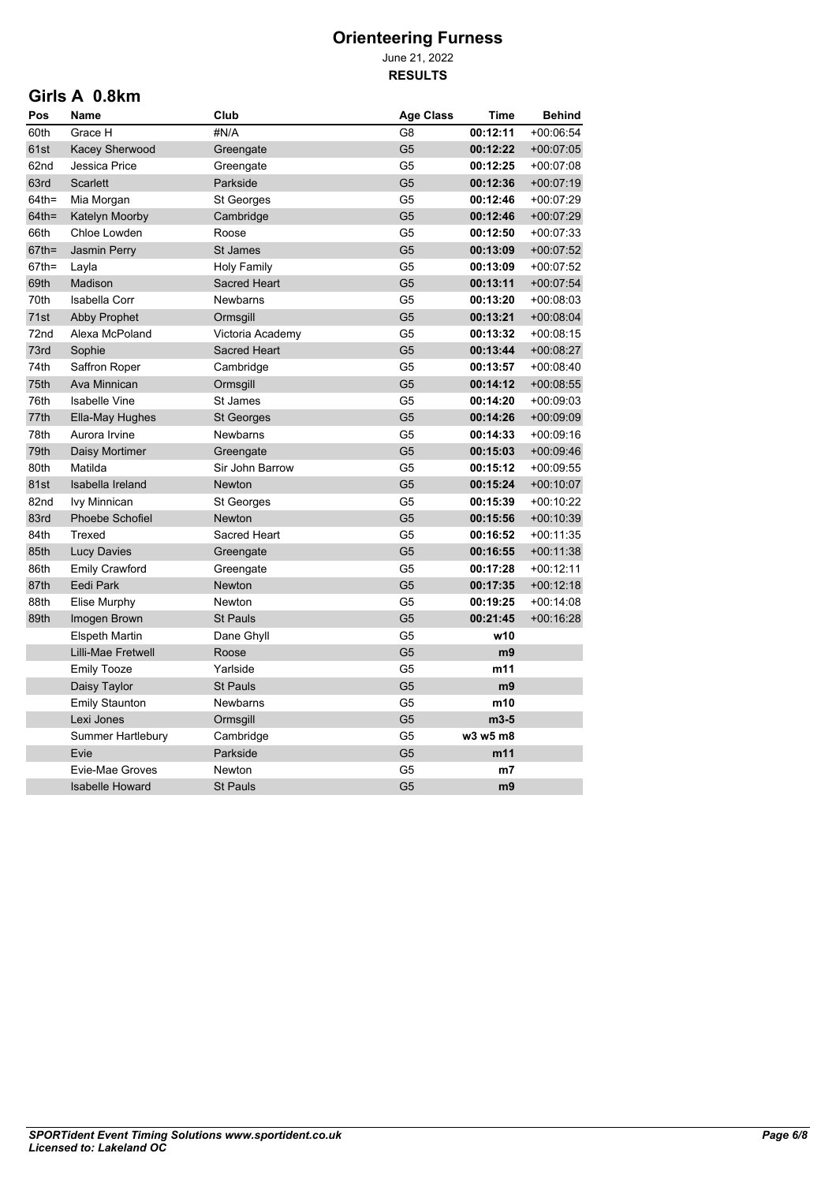June 21, 2022 **RESULTS**

#### **Girls A 0.8km**

| Pos      | Name                   | Club                | <b>Age Class</b> | <b>Time</b>    | <b>Behind</b> |
|----------|------------------------|---------------------|------------------|----------------|---------------|
| 60th     | Grace H                | #N/A                | G <sub>8</sub>   | 00:12:11       | $+00.06:54$   |
| 61st     | Kacey Sherwood         | Greengate           | G <sub>5</sub>   | 00:12:22       | $+00.07:05$   |
| 62nd     | Jessica Price          | Greengate           | G <sub>5</sub>   | 00:12:25       | $+00:07:08$   |
| 63rd     | <b>Scarlett</b>        | Parkside            | G <sub>5</sub>   | 00:12:36       | $+00.07:19$   |
| $64th =$ | Mia Morgan             | St Georges          | G <sub>5</sub>   | 00:12:46       | +00:07:29     |
| $64th =$ | Katelyn Moorby         | Cambridge           | G <sub>5</sub>   | 00:12:46       | $+00.07:29$   |
| 66th     | Chloe Lowden           | Roose               | G <sub>5</sub>   | 00:12:50       | +00:07:33     |
| $67th =$ | <b>Jasmin Perry</b>    | <b>St James</b>     | G <sub>5</sub>   | 00:13:09       | $+00:07:52$   |
| $67th =$ | Layla                  | <b>Holy Family</b>  | G <sub>5</sub>   | 00:13:09       | +00:07:52     |
| 69th     | Madison                | <b>Sacred Heart</b> | G <sub>5</sub>   | 00:13:11       | $+00:07:54$   |
| 70th     | <b>Isabella Corr</b>   | <b>Newbarns</b>     | G5               | 00:13:20       | $+00:08:03$   |
| 71st     | <b>Abby Prophet</b>    | Ormsgill            | G <sub>5</sub>   | 00:13:21       | $+00.08.04$   |
| 72nd     | Alexa McPoland         | Victoria Academy    | G <sub>5</sub>   | 00:13:32       | $+00.08.15$   |
| 73rd     | Sophie                 | Sacred Heart        | G <sub>5</sub>   | 00:13:44       | $+00.08.27$   |
| 74th     | Saffron Roper          | Cambridge           | G <sub>5</sub>   | 00:13:57       | $+00:08:40$   |
| 75th     | Ava Minnican           | Ormsgill            | G <sub>5</sub>   | 00:14:12       | $+00:08:55$   |
| 76th     | <b>Isabelle Vine</b>   | St James            | G <sub>5</sub>   | 00:14:20       | +00:09:03     |
| 77th     | Ella-May Hughes        | <b>St Georges</b>   | G <sub>5</sub>   | 00:14:26       | $+00.09.09$   |
| 78th     | Aurora Irvine          | Newbarns            | G <sub>5</sub>   | 00:14:33       | $+00:09:16$   |
| 79th     | Daisy Mortimer         | Greengate           | G <sub>5</sub>   | 00:15:03       | $+00.09.46$   |
| 80th     | Matilda                | Sir John Barrow     | G <sub>5</sub>   | 00:15:12       | +00:09:55     |
| 81st     | Isabella Ireland       | <b>Newton</b>       | G <sub>5</sub>   | 00:15:24       | $+00:10:07$   |
| 82nd     | <b>Ivy Minnican</b>    | St Georges          | G <sub>5</sub>   | 00:15:39       | $+00.10.22$   |
| 83rd     | Phoebe Schofiel        | Newton              | G <sub>5</sub>   | 00:15:56       | $+00:10:39$   |
| 84th     | Trexed                 | Sacred Heart        | G5               | 00:16:52       | +00:11:35     |
| 85th     | <b>Lucy Davies</b>     | Greengate           | G <sub>5</sub>   | 00:16:55       | $+00:11:38$   |
| 86th     | <b>Emily Crawford</b>  | Greengate           | G <sub>5</sub>   | 00:17:28       | $+00:12:11$   |
| 87th     | Eedi Park              | <b>Newton</b>       | G <sub>5</sub>   | 00:17:35       | $+00:12:18$   |
| 88th     | <b>Elise Murphy</b>    | Newton              | G <sub>5</sub>   | 00:19:25       | $+00.14.08$   |
| 89th     | Imogen Brown           | <b>St Pauls</b>     | G <sub>5</sub>   | 00:21:45       | $+00.16.28$   |
|          | <b>Elspeth Martin</b>  | Dane Ghyll          | G <sub>5</sub>   | w10            |               |
|          | Lilli-Mae Fretwell     | Roose               | G <sub>5</sub>   | m <sub>9</sub> |               |
|          | <b>Emily Tooze</b>     | Yarlside            | G <sub>5</sub>   | m11            |               |
|          | Daisy Taylor           | <b>St Pauls</b>     | G <sub>5</sub>   | m9             |               |
|          | <b>Emily Staunton</b>  | <b>Newbarns</b>     | G <sub>5</sub>   | m10            |               |
|          | Lexi Jones             | Ormsgill            | G <sub>5</sub>   | $m3-5$         |               |
|          | Summer Hartlebury      | Cambridge           | G5               | w3 w5 m8       |               |
|          | Evie                   | Parkside            | G <sub>5</sub>   | m11            |               |
|          | Evie-Mae Groves        | Newton              | G <sub>5</sub>   | m <sub>7</sub> |               |
|          | <b>Isabelle Howard</b> | <b>St Pauls</b>     | G <sub>5</sub>   | m <sub>9</sub> |               |
|          |                        |                     |                  |                |               |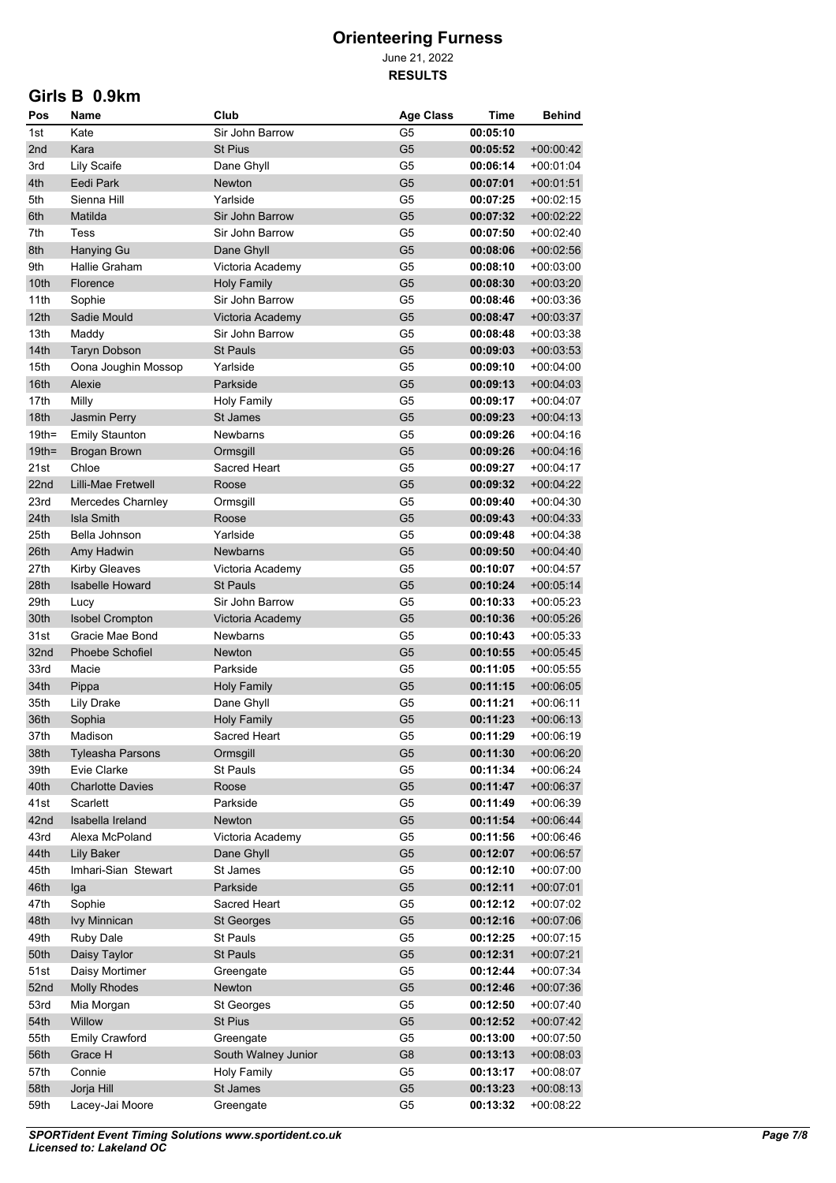June 21, 2022 **RESULTS**

#### **Girls B 0.9km**

| Pos                  | Name                                         | Club                  | <b>Age Class</b>     | Time                 | Behind                     |
|----------------------|----------------------------------------------|-----------------------|----------------------|----------------------|----------------------------|
| 1st                  | Kate                                         | Sir John Barrow       | G5                   | 00:05:10             |                            |
| 2nd                  | Kara                                         | <b>St Pius</b>        | G5                   | 00:05:52             | +00:00:42                  |
| 3rd                  | <b>Lily Scaife</b>                           | Dane Ghyll            | G <sub>5</sub>       | 00:06:14             | $+00.01.04$                |
| 4th                  | Eedi Park                                    | Newton                | G5                   | 00:07:01             | $+00.01.51$                |
| 5th                  | Sienna Hill                                  | Yarlside              | G5                   | 00:07:25             | +00:02:15                  |
| 6th                  | Matilda                                      | Sir John Barrow       | G5                   | 00:07:32             | $+00.02:22$                |
| 7th                  | Tess                                         | Sir John Barrow       | G5                   | 00:07:50             | $+00.02:40$                |
| 8th                  | <b>Hanying Gu</b>                            | Dane Ghyll            | G <sub>5</sub>       | 00:08:06             | +00:02:56                  |
| 9th                  | Hallie Graham                                | Victoria Academy      | G5                   | 00:08:10             | +00:03:00                  |
| 10th                 | Florence                                     | <b>Holy Family</b>    | G <sub>5</sub>       | 00:08:30             | $+00.03:20$                |
| 11th                 | Sophie                                       | Sir John Barrow       | G5                   | 00:08:46             | +00:03:36                  |
| 12th                 | Sadie Mould                                  | Victoria Academy      | G <sub>5</sub>       | 00:08:47             | $+00.03.37$                |
| 13th                 | Maddy                                        | Sir John Barrow       | G5                   | 00:08:48             | +00:03:38                  |
| 14th                 | <b>Taryn Dobson</b>                          | <b>St Pauls</b>       | G <sub>5</sub>       | 00:09:03             | +00:03:53                  |
| 15th                 | Oona Joughin Mossop                          | Yarlside              | G5                   | 00:09:10             | +00:04:00                  |
| 16th                 | Alexie                                       | Parkside              | G <sub>5</sub>       | 00:09:13             | +00:04:03                  |
| 17th                 | Milly                                        | <b>Holy Family</b>    | G5                   | 00:09:17             | +00:04:07                  |
| 18th                 | Jasmin Perry                                 | St James              | G <sub>5</sub>       | 00:09:23             | $+00.04.13$                |
| $19th =$<br>$19th =$ | <b>Emily Staunton</b><br><b>Brogan Brown</b> | Newbarns<br>Ormsgill  | G5<br>G <sub>5</sub> | 00:09:26<br>00:09:26 | +00:04:16<br>$+00.04.16$   |
| 21st                 | Chloe                                        | Sacred Heart          | G <sub>5</sub>       | 00:09:27             | $+00.04.17$                |
| 22nd                 | Lilli-Mae Fretwell                           | Roose                 | G <sub>5</sub>       | 00:09:32             | +00:04:22                  |
| 23rd                 | Mercedes Charnley                            | Ormsgill              | G <sub>5</sub>       | 00:09:40             | +00:04:30                  |
| 24th                 | <b>Isla Smith</b>                            | Roose                 | G <sub>5</sub>       | 00:09:43             | $+00.04.33$                |
| 25th                 | Bella Johnson                                | Yarlside              | G <sub>5</sub>       | 00:09:48             | +00:04:38                  |
| 26th                 | Amy Hadwin                                   | Newbarns              | G <sub>5</sub>       | 00:09:50             | $+00.04.40$                |
| 27th                 | <b>Kirby Gleaves</b>                         | Victoria Academy      | G5                   | 00:10:07             | $+00.04.57$                |
| 28th                 | <b>Isabelle Howard</b>                       | <b>St Pauls</b>       | G <sub>5</sub>       | 00:10:24             | $+00.05.14$                |
| 29th                 | Lucy                                         | Sir John Barrow       | G5                   | 00:10:33             | $+00.05.23$                |
| 30th                 | <b>Isobel Crompton</b>                       | Victoria Academy      | G <sub>5</sub>       | 00:10:36             | $+00.05.26$                |
| 31st                 | Gracie Mae Bond                              | <b>Newbarns</b>       | G5                   | 00:10:43             | $+00.05.33$                |
| 32nd                 | Phoebe Schofiel                              | <b>Newton</b>         | G <sub>5</sub>       | 00:10:55             | $+00.05.45$                |
| 33rd                 | Macie                                        | Parkside              | G5                   | 00:11:05             | $+00:05:55$                |
| 34th                 | Pippa                                        | <b>Holy Family</b>    | G <sub>5</sub>       | 00:11:15             | $+00:06:05$                |
| 35th                 | <b>Lily Drake</b>                            | Dane Ghyll            | G5                   | 00:11:21             | +00 06:11                  |
| 36th                 | Sophia                                       | <b>Holy Family</b>    | G <sub>5</sub>       | 00:11:23             | $+00.06:13$                |
| 37th                 | Madison                                      | Sacred Heart          | G <sub>5</sub>       | 00:11:29             | $+00:06:19$                |
| 38th                 | Tyleasha Parsons                             | Ormsgill              | G <sub>5</sub>       | 00:11:30             | $+00.06:20$                |
| 39th                 | Evie Clarke                                  | St Pauls              | G <sub>5</sub>       | 00:11:34             | +00:06:24                  |
| 40th                 | <b>Charlotte Davies</b>                      | Roose                 | G <sub>5</sub>       | 00:11:47             | $+00.06.37$                |
| 41st                 | Scarlett                                     | Parkside              | G5                   | 00:11:49             | $+00.06.39$                |
| 42nd                 | Isabella Ireland                             | Newton                | G <sub>5</sub>       | 00:11:54             | $+00.06.44$                |
| 43rd                 | Alexa McPoland                               | Victoria Academy      | G5                   | 00:11:56             | $+00.06:46$                |
| 44th                 | <b>Lily Baker</b>                            | Dane Ghyll            | G <sub>5</sub>       | 00:12:07             | $+00.06.57$                |
| 45th                 | Imhari-Sian Stewart                          | St James              | G5                   | 00:12:10             | +00:07:00                  |
| 46th                 | Iga                                          | Parkside              | G <sub>5</sub>       | 00:12:11             | $+00.07.01$                |
| 47th                 | Sophie                                       | Sacred Heart          | G5                   | 00:12:12             | $+00.07:02$                |
| 48th                 | Ivy Minnican                                 | <b>St Georges</b>     | G <sub>5</sub>       | 00:12:16             | $+00.07:06$                |
| 49th                 | <b>Ruby Dale</b>                             | St Pauls              | G5                   | 00:12:25             | $+00:07:15$                |
| 50th<br>51st         | Daisy Taylor<br>Daisy Mortimer               | St Pauls<br>Greengate | G <sub>5</sub><br>G5 | 00:12:31<br>00:12:44 | $+00.07:21$<br>$+00.07:34$ |
| 52nd                 | <b>Molly Rhodes</b>                          | Newton                | G <sub>5</sub>       | 00:12:46             | $+00:07:36$                |
| 53rd                 | Mia Morgan                                   | St Georges            | G <sub>5</sub>       | 00:12:50             | +00:07:40                  |
| 54th                 | Willow                                       | St Pius               | G <sub>5</sub>       | 00:12:52             | $+00.07.42$                |
| 55th                 | <b>Emily Crawford</b>                        | Greengate             | G5                   | 00:13:00             | $+00:07:50$                |
| 56th                 | Grace H                                      | South Walney Junior   | G8                   | 00:13:13             | $+00.08.03$                |
| 57th                 | Connie                                       | <b>Holy Family</b>    | G5                   | 00:13:17             | $+00.08:07$                |
| 58th                 | Jorja Hill                                   | St James              | G <sub>5</sub>       | 00:13:23             | $+00.08:13$                |
| 59th                 | Lacey-Jai Moore                              | Greengate             | G5                   | 00:13:32             | +00:08:22                  |